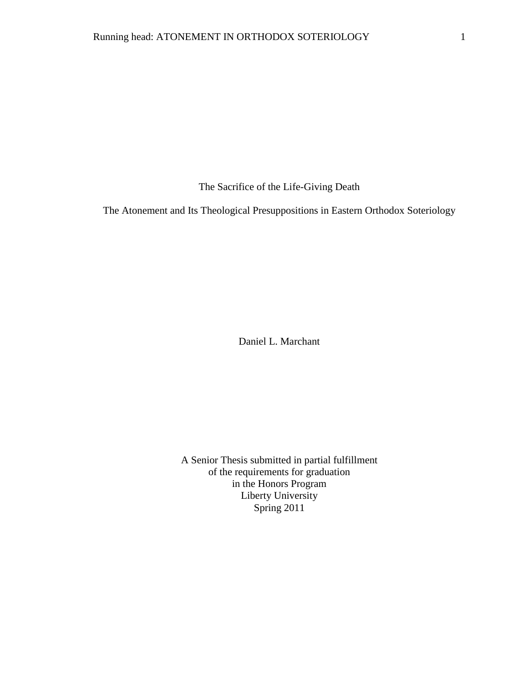The Sacrifice of the Life-Giving Death

The Atonement and Its Theological Presuppositions in Eastern Orthodox Soteriology

Daniel L. Marchant

A Senior Thesis submitted in partial fulfillment of the requirements for graduation in the Honors Program Liberty University Spring 2011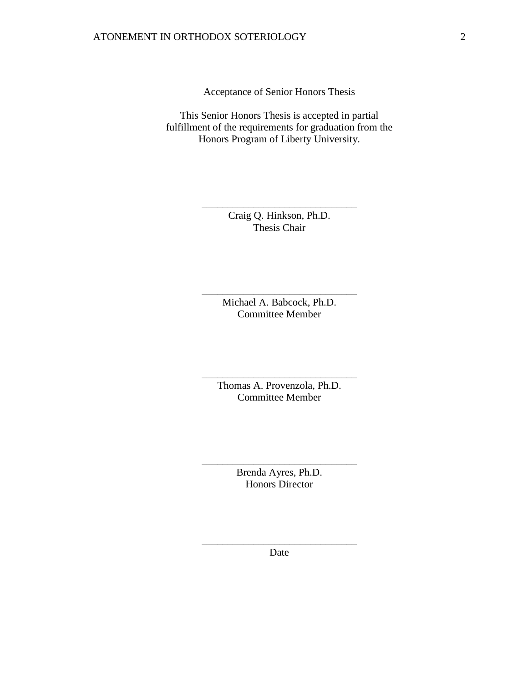Acceptance of Senior Honors Thesis

This Senior Honors Thesis is accepted in partial fulfillment of the requirements for graduation from the Honors Program of Liberty University.

> Craig Q. Hinkson, Ph.D. Thesis Chair

\_\_\_\_\_\_\_\_\_\_\_\_\_\_\_\_\_\_\_\_\_\_\_\_\_\_\_\_\_\_

Michael A. Babcock, Ph.D. Committee Member

\_\_\_\_\_\_\_\_\_\_\_\_\_\_\_\_\_\_\_\_\_\_\_\_\_\_\_\_\_\_

Thomas A. Provenzola, Ph.D. Committee Member

\_\_\_\_\_\_\_\_\_\_\_\_\_\_\_\_\_\_\_\_\_\_\_\_\_\_\_\_\_\_

Brenda Ayres, Ph.D. Honors Director

\_\_\_\_\_\_\_\_\_\_\_\_\_\_\_\_\_\_\_\_\_\_\_\_\_\_\_\_\_\_

\_\_\_\_\_\_\_\_\_\_\_\_\_\_\_\_\_\_\_\_\_\_\_\_\_\_\_\_\_\_ Date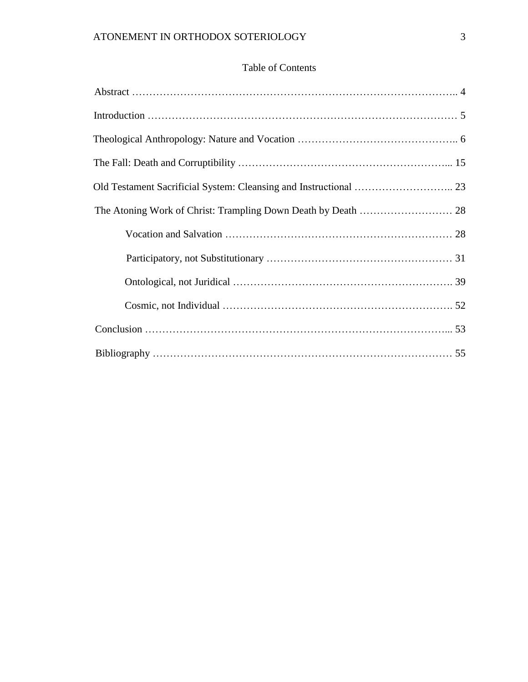# Table of Contents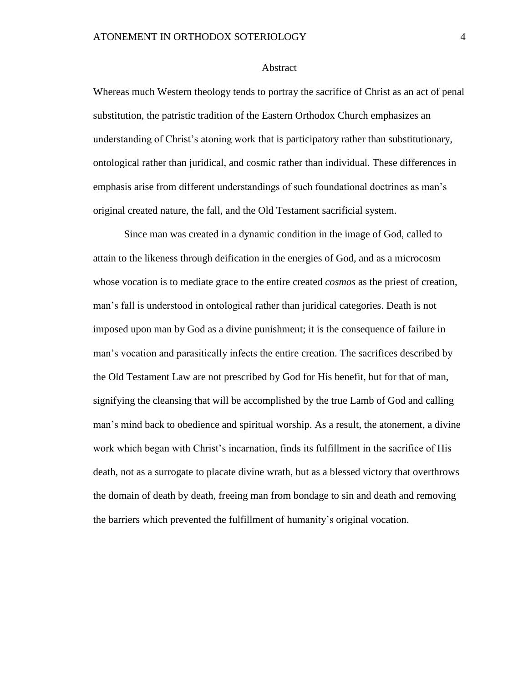#### Abstract

Whereas much Western theology tends to portray the sacrifice of Christ as an act of penal substitution, the patristic tradition of the Eastern Orthodox Church emphasizes an understanding of Christ"s atoning work that is participatory rather than substitutionary, ontological rather than juridical, and cosmic rather than individual. These differences in emphasis arise from different understandings of such foundational doctrines as man"s original created nature, the fall, and the Old Testament sacrificial system.

Since man was created in a dynamic condition in the image of God, called to attain to the likeness through deification in the energies of God, and as a microcosm whose vocation is to mediate grace to the entire created *cosmos* as the priest of creation, man"s fall is understood in ontological rather than juridical categories. Death is not imposed upon man by God as a divine punishment; it is the consequence of failure in man"s vocation and parasitically infects the entire creation. The sacrifices described by the Old Testament Law are not prescribed by God for His benefit, but for that of man, signifying the cleansing that will be accomplished by the true Lamb of God and calling man"s mind back to obedience and spiritual worship. As a result, the atonement, a divine work which began with Christ"s incarnation, finds its fulfillment in the sacrifice of His death, not as a surrogate to placate divine wrath, but as a blessed victory that overthrows the domain of death by death, freeing man from bondage to sin and death and removing the barriers which prevented the fulfillment of humanity"s original vocation.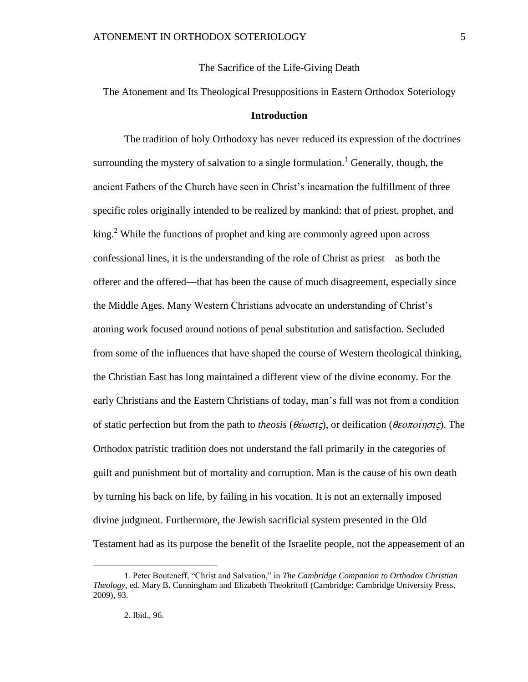The Sacrifice of the Life-Giving Death

The Atonement and Its Theological Presuppositions in Eastern Orthodox Soteriology

# **Introduction**

The tradition of holy Orthodoxy has never reduced its expression of the doctrines surrounding the mystery of salvation to a single formulation.<sup>1</sup> Generally, though, the ancient Fathers of the Church have seen in Christ"s incarnation the fulfillment of three specific roles originally intended to be realized by mankind: that of priest, prophet, and king.<sup>2</sup> While the functions of prophet and king are commonly agreed upon across confessional lines, it is the understanding of the role of Christ as priest—as both the offerer and the offered—that has been the cause of much disagreement, especially since the Middle Ages. Many Western Christians advocate an understanding of Christ"s atoning work focused around notions of penal substitution and satisfaction. Secluded from some of the influences that have shaped the course of Western theological thinking, the Christian East has long maintained a different view of the divine economy. For the early Christians and the Eastern Christians of today, man's fall was not from a condition of static perfection but from the path to *theosis* ( $\theta \epsilon \omega \sigma \iota \zeta$ ), or deification ( $\theta \epsilon \omega \sigma \iota \eta \sigma \iota \zeta$ ). The Orthodox patristic tradition does not understand the fall primarily in the categories of guilt and punishment but of mortality and corruption. Man is the cause of his own death by turning his back on life, by failing in his vocation. It is not an externally imposed divine judgment. Furthermore, the Jewish sacrificial system presented in the Old Testament had as its purpose the benefit of the Israelite people, not the appeasement of an

<sup>1.</sup> Peter Bouteneff, "Christ and Salvation," in *The Cambridge Companion to Orthodox Christian Theology*, ed. Mary B. Cunningham and Elizabeth Theokritoff (Cambridge: Cambridge University Press, 2009), 93.

<sup>2.</sup> Ibid., 96.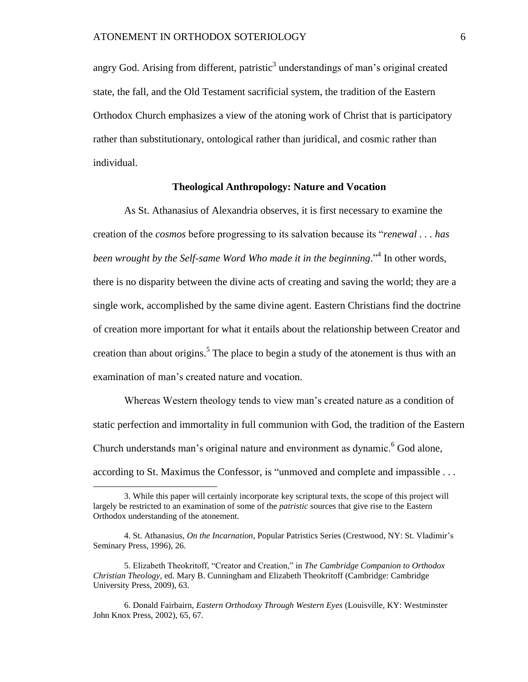angry God. Arising from different, patristic<sup>3</sup> understandings of man's original created state, the fall, and the Old Testament sacrificial system, the tradition of the Eastern Orthodox Church emphasizes a view of the atoning work of Christ that is participatory rather than substitutionary, ontological rather than juridical, and cosmic rather than individual.

## **Theological Anthropology: Nature and Vocation**

As St. Athanasius of Alexandria observes, it is first necessary to examine the creation of the *cosmos* before progressing to its salvation because its "*renewal . . . has been wrought by the Self-same Word Who made it in the beginning*." 4 In other words, there is no disparity between the divine acts of creating and saving the world; they are a single work, accomplished by the same divine agent. Eastern Christians find the doctrine of creation more important for what it entails about the relationship between Creator and creation than about origins.<sup>5</sup> The place to begin a study of the atonement is thus with an examination of man's created nature and vocation.

Whereas Western theology tends to view man"s created nature as a condition of static perfection and immortality in full communion with God, the tradition of the Eastern Church understands man's original nature and environment as dynamic.<sup>6</sup> God alone, according to St. Maximus the Confessor, is "unmoved and complete and impassible . . .

<sup>3.</sup> While this paper will certainly incorporate key scriptural texts, the scope of this project will largely be restricted to an examination of some of the *patristic* sources that give rise to the Eastern Orthodox understanding of the atonement.

<sup>4.</sup> St. Athanasius, *On the Incarnation*, Popular Patristics Series (Crestwood, NY: St. Vladimir"s Seminary Press, 1996), 26.

<sup>5.</sup> Elizabeth Theokritoff, "Creator and Creation," in *The Cambridge Companion to Orthodox Christian Theology*, ed. Mary B. Cunningham and Elizabeth Theokritoff (Cambridge: Cambridge University Press, 2009), 63.

<sup>6.</sup> Donald Fairbairn, *Eastern Orthodoxy Through Western Eyes* (Louisville, KY: Westminster John Knox Press, 2002), 65, 67.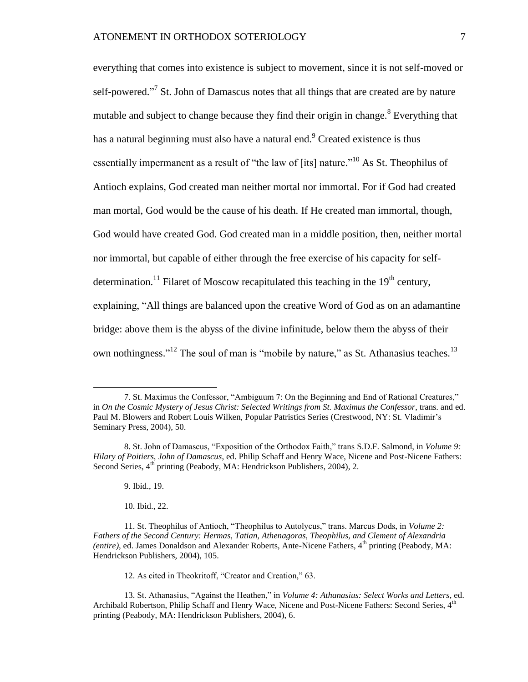everything that comes into existence is subject to movement, since it is not self-moved or self-powered."<sup>7</sup> St. John of Damascus notes that all things that are created are by nature mutable and subject to change because they find their origin in change.<sup>8</sup> Everything that has a natural beginning must also have a natural end.<sup>9</sup> Created existence is thus essentially impermanent as a result of "the law of [its] nature."<sup>10</sup> As St. Theophilus of Antioch explains, God created man neither mortal nor immortal. For if God had created man mortal, God would be the cause of his death. If He created man immortal, though, God would have created God. God created man in a middle position, then, neither mortal nor immortal, but capable of either through the free exercise of his capacity for selfdetermination.<sup>11</sup> Filaret of Moscow recapitulated this teaching in the  $19<sup>th</sup>$  century, explaining, "All things are balanced upon the creative Word of God as on an adamantine bridge: above them is the abyss of the divine infinitude, below them the abyss of their own nothingness."<sup>12</sup> The soul of man is "mobile by nature," as St. Athanasius teaches.<sup>13</sup>

9. Ibid., 19.

 $\overline{a}$ 

10. Ibid., 22.

12. As cited in Theokritoff, "Creator and Creation," 63.

<sup>7.</sup> St. Maximus the Confessor, "Ambiguum 7: On the Beginning and End of Rational Creatures," in *On the Cosmic Mystery of Jesus Christ: Selected Writings from St. Maximus the Confessor*, trans. and ed. Paul M. Blowers and Robert Louis Wilken, Popular Patristics Series (Crestwood, NY: St. Vladimir"s Seminary Press, 2004), 50.

<sup>8.</sup> St. John of Damascus, "Exposition of the Orthodox Faith," trans S.D.F. Salmond, in *Volume 9: Hilary of Poitiers, John of Damascus*, ed. Philip Schaff and Henry Wace, Nicene and Post-Nicene Fathers: Second Series,  $4<sup>th</sup>$  printing (Peabody, MA: Hendrickson Publishers, 2004), 2.

<sup>11.</sup> St. Theophilus of Antioch, "Theophilus to Autolycus," trans. Marcus Dods, in *Volume 2: Fathers of the Second Century: Hermas, Tatian, Athenagoras, Theophilus, and Clement of Alexandria (entire)*, ed. James Donaldson and Alexander Roberts, Ante-Nicene Fathers, 4<sup>th</sup> printing (Peabody, MA: Hendrickson Publishers, 2004), 105.

<sup>13.</sup> St. Athanasius, "Against the Heathen," in *Volume 4: Athanasius: Select Works and Letters*, ed. Archibald Robertson, Philip Schaff and Henry Wace, Nicene and Post-Nicene Fathers: Second Series, 4<sup>th</sup> printing (Peabody, MA: Hendrickson Publishers, 2004), 6.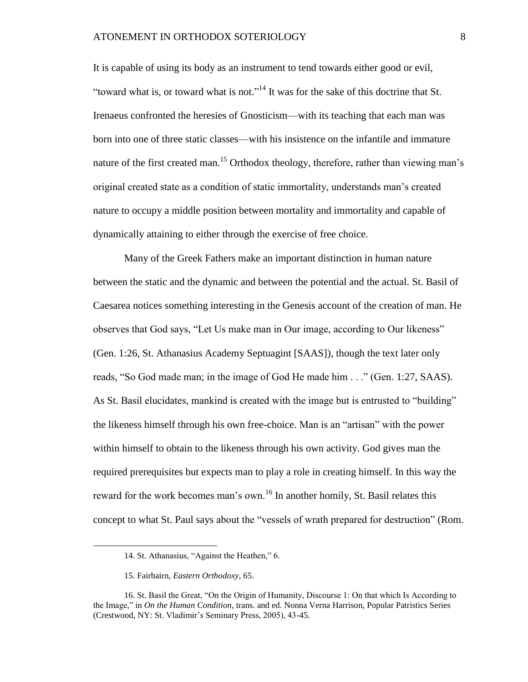It is capable of using its body as an instrument to tend towards either good or evil, "toward what is, or toward what is not."<sup>14</sup> It was for the sake of this doctrine that St. Irenaeus confronted the heresies of Gnosticism—with its teaching that each man was born into one of three static classes—with his insistence on the infantile and immature nature of the first created man.<sup>15</sup> Orthodox theology, therefore, rather than viewing man's original created state as a condition of static immortality, understands man"s created nature to occupy a middle position between mortality and immortality and capable of dynamically attaining to either through the exercise of free choice.

Many of the Greek Fathers make an important distinction in human nature between the static and the dynamic and between the potential and the actual. St. Basil of Caesarea notices something interesting in the Genesis account of the creation of man. He observes that God says, "Let Us make man in Our image, according to Our likeness" (Gen. 1:26, St. Athanasius Academy Septuagint [SAAS]), though the text later only reads, "So God made man; in the image of God He made him . . ." (Gen. 1:27, SAAS). As St. Basil elucidates, mankind is created with the image but is entrusted to "building" the likeness himself through his own free-choice. Man is an "artisan" with the power within himself to obtain to the likeness through his own activity. God gives man the required prerequisites but expects man to play a role in creating himself. In this way the reward for the work becomes man's own.<sup>16</sup> In another homily, St. Basil relates this concept to what St. Paul says about the "vessels of wrath prepared for destruction" (Rom.

<sup>14.</sup> St. Athanasius, "Against the Heathen," 6.

<sup>15.</sup> Fairbairn, *Eastern Orthodoxy*, 65.

<sup>16.</sup> St. Basil the Great, "On the Origin of Humanity, Discourse 1: On that which Is According to the Image," in *On the Human Condition*, trans. and ed. Nonna Verna Harrison, Popular Patristics Series (Crestwood, NY: St. Vladimir"s Seminary Press, 2005), 43-45.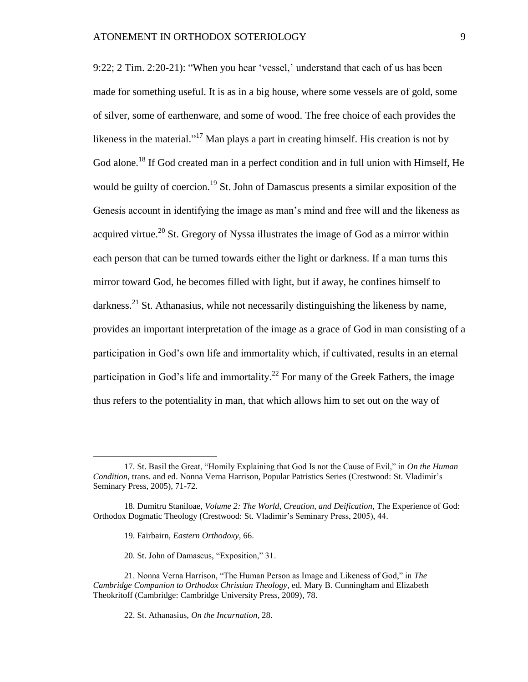9:22; 2 Tim. 2:20-21): "When you hear "vessel," understand that each of us has been made for something useful. It is as in a big house, where some vessels are of gold, some of silver, some of earthenware, and some of wood. The free choice of each provides the likeness in the material."<sup>17</sup> Man plays a part in creating himself. His creation is not by God alone.<sup>18</sup> If God created man in a perfect condition and in full union with Himself, He would be guilty of coercion.<sup>19</sup> St. John of Damascus presents a similar exposition of the Genesis account in identifying the image as man"s mind and free will and the likeness as acquired virtue.<sup>20</sup> St. Gregory of Nyssa illustrates the image of God as a mirror within each person that can be turned towards either the light or darkness. If a man turns this mirror toward God, he becomes filled with light, but if away, he confines himself to darkness.<sup>21</sup> St. Athanasius, while not necessarily distinguishing the likeness by name, provides an important interpretation of the image as a grace of God in man consisting of a participation in God"s own life and immortality which, if cultivated, results in an eternal participation in God's life and immortality.<sup>22</sup> For many of the Greek Fathers, the image thus refers to the potentiality in man, that which allows him to set out on the way of

<sup>17.</sup> St. Basil the Great, "Homily Explaining that God Is not the Cause of Evil," in *On the Human Condition*, trans. and ed. Nonna Verna Harrison, Popular Patristics Series (Crestwood: St. Vladimir"s Seminary Press, 2005), 71-72.

<sup>18.</sup> Dumitru Staniloae, *Volume 2: The World, Creation, and Deification*, The Experience of God: Orthodox Dogmatic Theology (Crestwood: St. Vladimir"s Seminary Press, 2005), 44.

<sup>19.</sup> Fairbairn, *Eastern Orthodoxy*, 66.

<sup>20.</sup> St. John of Damascus, "Exposition," 31.

<sup>21.</sup> Nonna Verna Harrison, "The Human Person as Image and Likeness of God," in *The Cambridge Companion to Orthodox Christian Theology*, ed. Mary B. Cunningham and Elizabeth Theokritoff (Cambridge: Cambridge University Press, 2009), 78.

<sup>22.</sup> St. Athanasius, *On the Incarnation*, 28.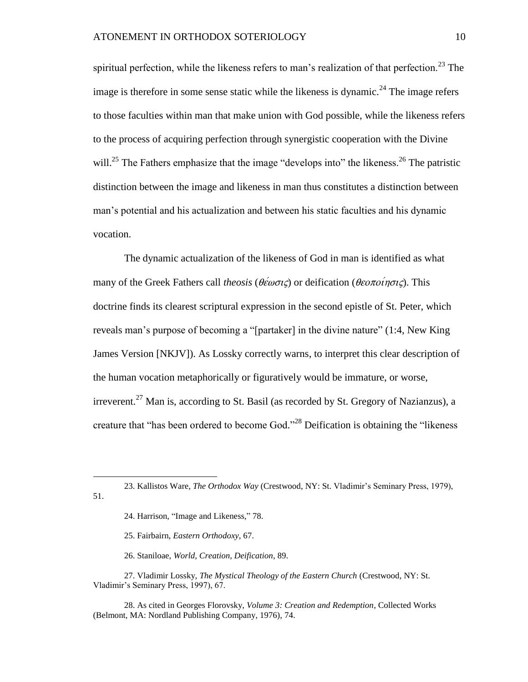spiritual perfection, while the likeness refers to man's realization of that perfection.<sup>23</sup> The image is therefore in some sense static while the likeness is dynamic.<sup>24</sup> The image refers to those faculties within man that make union with God possible, while the likeness refers to the process of acquiring perfection through synergistic cooperation with the Divine will.<sup>25</sup> The Fathers emphasize that the image "develops into" the likeness.<sup>26</sup> The patristic distinction between the image and likeness in man thus constitutes a distinction between man"s potential and his actualization and between his static faculties and his dynamic vocation.

The dynamic actualization of the likeness of God in man is identified as what many of the Greek Fathers call *theosis* ( $\theta \epsilon \omega \sigma \iota \zeta$ ) or deification ( $\theta \epsilon \omega \pi \omega \eta \sigma \iota \zeta$ ). This doctrine finds its clearest scriptural expression in the second epistle of St. Peter, which reveals man"s purpose of becoming a "[partaker] in the divine nature" (1:4, New King James Version [NKJV]). As Lossky correctly warns, to interpret this clear description of the human vocation metaphorically or figuratively would be immature, or worse, irreverent.<sup>27</sup> Man is, according to St. Basil (as recorded by St. Gregory of Nazianzus), a creature that "has been ordered to become God."<sup>28</sup> Deification is obtaining the "likeness"

<sup>23.</sup> Kallistos Ware, *The Orthodox Way* (Crestwood, NY: St. Vladimir"s Seminary Press, 1979), 51.

<sup>24.</sup> Harrison, "Image and Likeness," 78.

<sup>25.</sup> Fairbairn, *Eastern Orthodoxy*, 67.

<sup>26.</sup> Staniloae, *World, Creation, Deification*, 89.

<sup>27.</sup> Vladimir Lossky, *The Mystical Theology of the Eastern Church* (Crestwood, NY: St. Vladimir"s Seminary Press, 1997), 67.

<sup>28.</sup> As cited in Georges Florovsky, *Volume 3: Creation and Redemption*, Collected Works (Belmont, MA: Nordland Publishing Company, 1976), 74.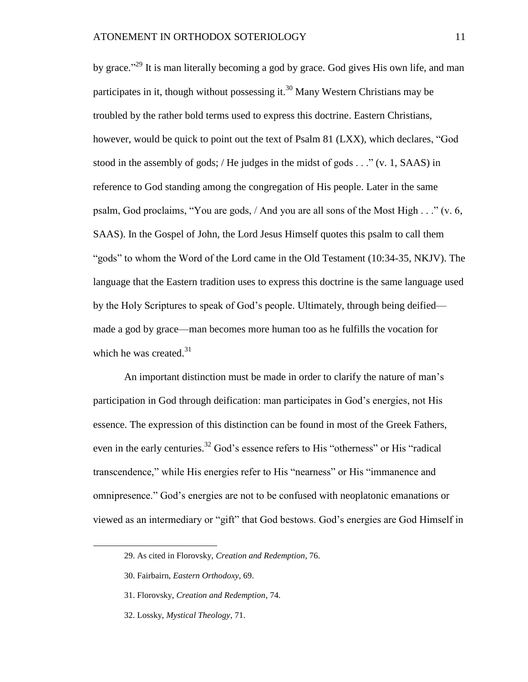by grace."<sup>29</sup> It is man literally becoming a god by grace. God gives His own life, and man participates in it, though without possessing it.<sup>30</sup> Many Western Christians may be troubled by the rather bold terms used to express this doctrine. Eastern Christians, however, would be quick to point out the text of Psalm 81 (LXX), which declares, "God stood in the assembly of gods; / He judges in the midst of gods . . ." (v. 1, SAAS) in reference to God standing among the congregation of His people. Later in the same psalm, God proclaims, "You are gods, / And you are all sons of the Most High . . ." (v. 6, SAAS). In the Gospel of John, the Lord Jesus Himself quotes this psalm to call them "gods" to whom the Word of the Lord came in the Old Testament (10:34-35, NKJV). The language that the Eastern tradition uses to express this doctrine is the same language used by the Holy Scriptures to speak of God"s people. Ultimately, through being deified made a god by grace—man becomes more human too as he fulfills the vocation for which he was created. $31$ 

An important distinction must be made in order to clarify the nature of man"s participation in God through deification: man participates in God"s energies, not His essence. The expression of this distinction can be found in most of the Greek Fathers, even in the early centuries.<sup>32</sup> God's essence refers to His "otherness" or His "radical transcendence," while His energies refer to His "nearness" or His "immanence and omnipresence." God"s energies are not to be confused with neoplatonic emanations or viewed as an intermediary or "gift" that God bestows. God"s energies are God Himself in

<sup>29.</sup> As cited in Florovsky, *Creation and Redemption*, 76.

<sup>30.</sup> Fairbairn, *Eastern Orthodoxy*, 69.

<sup>31.</sup> Florovsky, *Creation and Redemption*, 74.

<sup>32.</sup> Lossky, *Mystical Theology*, 71.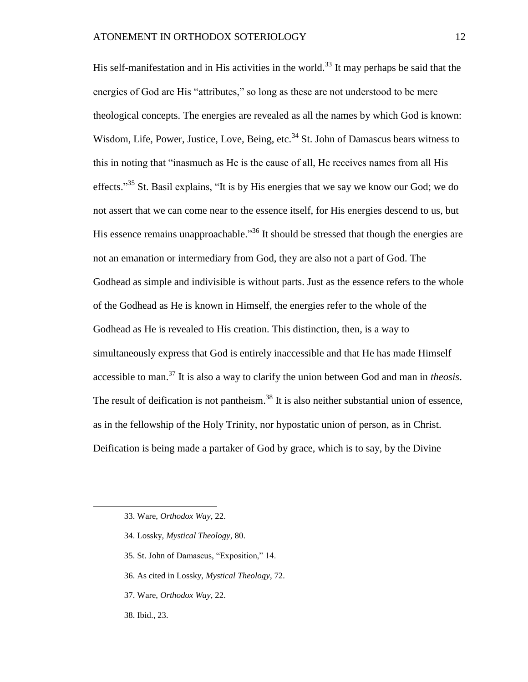His self-manifestation and in His activities in the world.<sup>33</sup> It may perhaps be said that the energies of God are His "attributes," so long as these are not understood to be mere theological concepts. The energies are revealed as all the names by which God is known: Wisdom, Life, Power, Justice, Love, Being, etc.<sup>34</sup> St. John of Damascus bears witness to this in noting that "inasmuch as He is the cause of all, He receives names from all His effects."<sup>35</sup> St. Basil explains, "It is by His energies that we say we know our God; we do not assert that we can come near to the essence itself, for His energies descend to us, but His essence remains unapproachable.<sup>356</sup> It should be stressed that though the energies are not an emanation or intermediary from God, they are also not a part of God. The Godhead as simple and indivisible is without parts. Just as the essence refers to the whole of the Godhead as He is known in Himself, the energies refer to the whole of the Godhead as He is revealed to His creation. This distinction, then, is a way to simultaneously express that God is entirely inaccessible and that He has made Himself accessible to man.<sup>37</sup> It is also a way to clarify the union between God and man in *theosis*. The result of deification is not pantheism.<sup>38</sup> It is also neither substantial union of essence, as in the fellowship of the Holy Trinity, nor hypostatic union of person, as in Christ. Deification is being made a partaker of God by grace, which is to say, by the Divine

- 34. Lossky, *Mystical Theology*, 80.
- 35. St. John of Damascus, "Exposition," 14.
- 36. As cited in Lossky, *Mystical Theology*, 72.
- 37. Ware, *Orthodox Way*, 22.
- 38. Ibid., 23.

<sup>33.</sup> Ware, *Orthodox Way*, 22.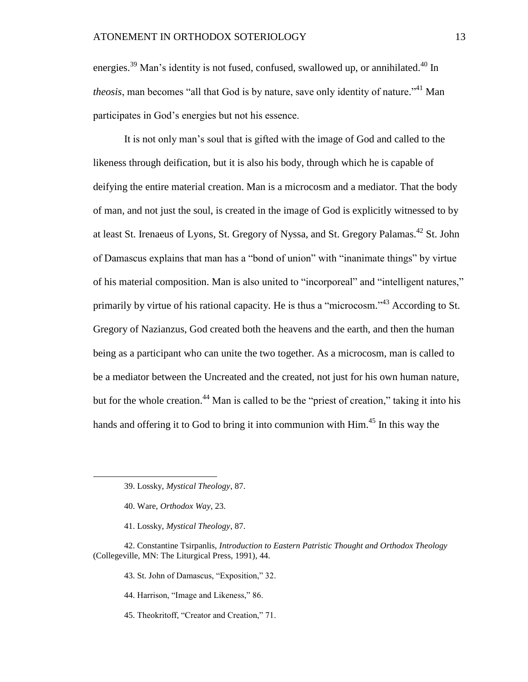energies.<sup>39</sup> Man's identity is not fused, confused, swallowed up, or annihilated.<sup>40</sup> In *theosis*, man becomes "all that God is by nature, save only identity of nature." <sup>41</sup> Man participates in God"s energies but not his essence.

It is not only man"s soul that is gifted with the image of God and called to the likeness through deification, but it is also his body, through which he is capable of deifying the entire material creation. Man is a microcosm and a mediator. That the body of man, and not just the soul, is created in the image of God is explicitly witnessed to by at least St. Irenaeus of Lyons, St. Gregory of Nyssa, and St. Gregory Palamas.<sup>42</sup> St. John of Damascus explains that man has a "bond of union" with "inanimate things" by virtue of his material composition. Man is also united to "incorporeal" and "intelligent natures," primarily by virtue of his rational capacity. He is thus a "microcosm."<sup>43</sup> According to St. Gregory of Nazianzus, God created both the heavens and the earth, and then the human being as a participant who can unite the two together. As a microcosm, man is called to be a mediator between the Uncreated and the created, not just for his own human nature, but for the whole creation.<sup>44</sup> Man is called to be the "priest of creation," taking it into his hands and offering it to God to bring it into communion with Him.<sup>45</sup> In this way the

 $\overline{a}$ 

43. St. John of Damascus, "Exposition," 32.

44. Harrison, "Image and Likeness," 86.

45. Theokritoff, "Creator and Creation," 71.

<sup>39.</sup> Lossky, *Mystical Theology*, 87.

<sup>40.</sup> Ware, *Orthodox Way*, 23.

<sup>41.</sup> Lossky, *Mystical Theology*, 87.

<sup>42.</sup> Constantine Tsirpanlis, *Introduction to Eastern Patristic Thought and Orthodox Theology* (Collegeville, MN: The Liturgical Press, 1991), 44.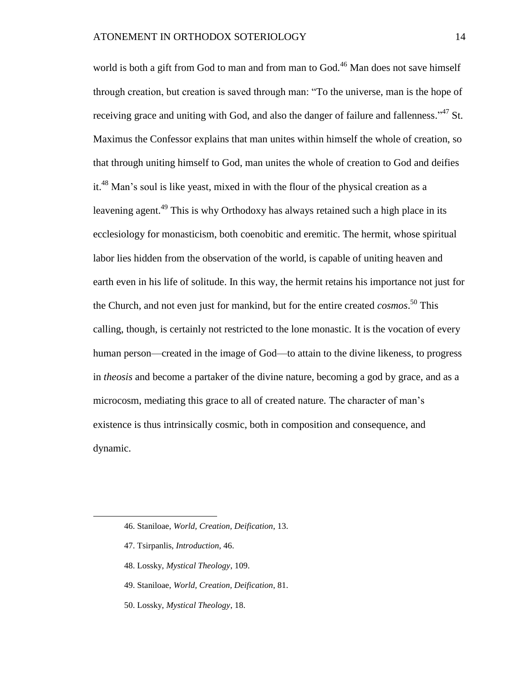world is both a gift from God to man and from man to God.<sup>46</sup> Man does not save himself through creation, but creation is saved through man: "To the universe, man is the hope of receiving grace and uniting with God, and also the danger of failure and fallenness."<sup>47</sup> St. Maximus the Confessor explains that man unites within himself the whole of creation, so that through uniting himself to God, man unites the whole of creation to God and deifies it.<sup>48</sup> Man's soul is like yeast, mixed in with the flour of the physical creation as a leavening agent.<sup>49</sup> This is why Orthodoxy has always retained such a high place in its ecclesiology for monasticism, both coenobitic and eremitic. The hermit, whose spiritual labor lies hidden from the observation of the world, is capable of uniting heaven and earth even in his life of solitude. In this way, the hermit retains his importance not just for the Church, and not even just for mankind, but for the entire created *cosmos*. <sup>50</sup> This calling, though, is certainly not restricted to the lone monastic. It is the vocation of every human person—created in the image of God—to attain to the divine likeness, to progress in *theosis* and become a partaker of the divine nature, becoming a god by grace, and as a microcosm, mediating this grace to all of created nature. The character of man"s existence is thus intrinsically cosmic, both in composition and consequence, and dynamic.

 $\overline{a}$ 

50. Lossky, *Mystical Theology*, 18.

<sup>46.</sup> Staniloae, *World, Creation, Deification*, 13.

<sup>47.</sup> Tsirpanlis, *Introduction*, 46.

<sup>48.</sup> Lossky, *Mystical Theology*, 109.

<sup>49.</sup> Staniloae, *World, Creation, Deification*, 81.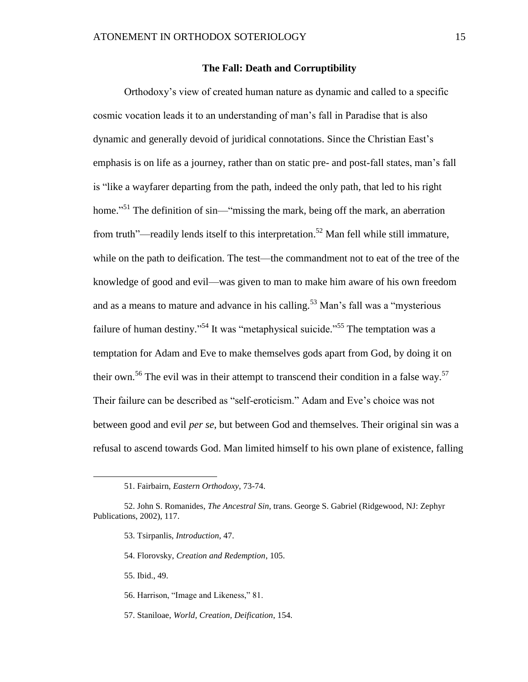### **The Fall: Death and Corruptibility**

Orthodoxy"s view of created human nature as dynamic and called to a specific cosmic vocation leads it to an understanding of man"s fall in Paradise that is also dynamic and generally devoid of juridical connotations. Since the Christian East"s emphasis is on life as a journey, rather than on static pre- and post-fall states, man's fall is "like a wayfarer departing from the path, indeed the only path, that led to his right home."<sup>51</sup> The definition of sin—"missing the mark, being off the mark, an aberration from truth"—readily lends itself to this interpretation.<sup>52</sup> Man fell while still immature, while on the path to deification. The test—the commandment not to eat of the tree of the knowledge of good and evil—was given to man to make him aware of his own freedom and as a means to mature and advance in his calling.<sup>53</sup> Man's fall was a "mysterious" failure of human destiny."<sup>54</sup> It was "metaphysical suicide."<sup>55</sup> The temptation was a temptation for Adam and Eve to make themselves gods apart from God, by doing it on their own.<sup>56</sup> The evil was in their attempt to transcend their condition in a false way.<sup>57</sup> Their failure can be described as "self-eroticism." Adam and Eve"s choice was not between good and evil *per se*, but between God and themselves. Their original sin was a refusal to ascend towards God. Man limited himself to his own plane of existence, falling

54. Florovsky, *Creation and Redemption*, 105.

55. Ibid., 49.

 $\overline{a}$ 

57. Staniloae, *World, Creation, Deification*, 154.

<sup>51.</sup> Fairbairn, *Eastern Orthodoxy*, 73-74.

<sup>52.</sup> John S. Romanides, *The Ancestral Sin*, trans. George S. Gabriel (Ridgewood, NJ: Zephyr Publications, 2002), 117.

<sup>53.</sup> Tsirpanlis, *Introduction*, 47.

<sup>56.</sup> Harrison, "Image and Likeness," 81.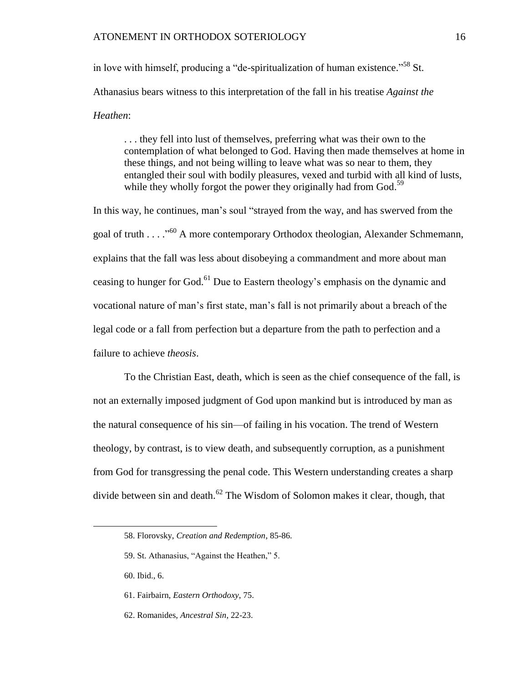in love with himself, producing a "de-spiritualization of human existence."<sup>58</sup> St. Athanasius bears witness to this interpretation of the fall in his treatise *Against the Heathen*:

. . . they fell into lust of themselves, preferring what was their own to the contemplation of what belonged to God. Having then made themselves at home in these things, and not being willing to leave what was so near to them, they entangled their soul with bodily pleasures, vexed and turbid with all kind of lusts, while they wholly forgot the power they originally had from God.<sup>59</sup>

In this way, he continues, man"s soul "strayed from the way, and has swerved from the goal of truth . . . . "<sup>60</sup> A more contemporary Orthodox theologian, Alexander Schmemann, explains that the fall was less about disobeying a commandment and more about man ceasing to hunger for God.<sup>61</sup> Due to Eastern theology's emphasis on the dynamic and vocational nature of man"s first state, man"s fall is not primarily about a breach of the legal code or a fall from perfection but a departure from the path to perfection and a failure to achieve *theosis*.

To the Christian East, death, which is seen as the chief consequence of the fall, is not an externally imposed judgment of God upon mankind but is introduced by man as the natural consequence of his sin—of failing in his vocation. The trend of Western theology, by contrast, is to view death, and subsequently corruption, as a punishment from God for transgressing the penal code. This Western understanding creates a sharp divide between sin and death.<sup>62</sup> The Wisdom of Solomon makes it clear, though, that

- 61. Fairbairn, *Eastern Orthodoxy*, 75.
- 62. Romanides, *Ancestral Sin*, 22-23.

<sup>58.</sup> Florovsky, *Creation and Redemption*, 85-86.

<sup>59.</sup> St. Athanasius, "Against the Heathen," 5.

<sup>60.</sup> Ibid., 6.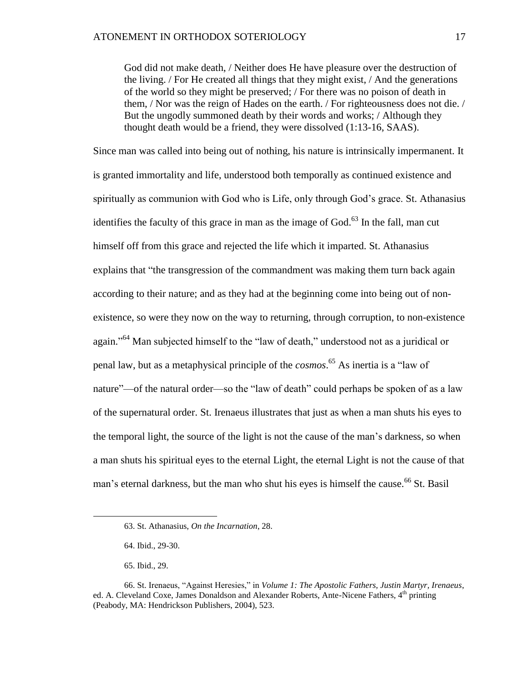God did not make death, / Neither does He have pleasure over the destruction of the living. / For He created all things that they might exist, / And the generations of the world so they might be preserved; / For there was no poison of death in them, / Nor was the reign of Hades on the earth. / For righteousness does not die. / But the ungodly summoned death by their words and works; / Although they thought death would be a friend, they were dissolved (1:13-16, SAAS).

Since man was called into being out of nothing, his nature is intrinsically impermanent. It is granted immortality and life, understood both temporally as continued existence and spiritually as communion with God who is Life, only through God's grace. St. Athanasius identifies the faculty of this grace in man as the image of God.<sup>63</sup> In the fall, man cut himself off from this grace and rejected the life which it imparted. St. Athanasius explains that "the transgression of the commandment was making them turn back again according to their nature; and as they had at the beginning come into being out of nonexistence, so were they now on the way to returning, through corruption, to non-existence again."<sup>64</sup> Man subjected himself to the "law of death," understood not as a juridical or penal law, but as a metaphysical principle of the *cosmos*. <sup>65</sup> As inertia is a "law of nature"—of the natural order—so the "law of death" could perhaps be spoken of as a law of the supernatural order. St. Irenaeus illustrates that just as when a man shuts his eyes to the temporal light, the source of the light is not the cause of the man"s darkness, so when a man shuts his spiritual eyes to the eternal Light, the eternal Light is not the cause of that man's eternal darkness, but the man who shut his eyes is himself the cause.<sup>66</sup> St. Basil

<sup>63.</sup> St. Athanasius, *On the Incarnation*, 28.

<sup>64.</sup> Ibid., 29-30.

<sup>65.</sup> Ibid., 29.

<sup>66.</sup> St. Irenaeus, "Against Heresies," in *Volume 1: The Apostolic Fathers, Justin Martyr, Irenaeus*, ed. A. Cleveland Coxe, James Donaldson and Alexander Roberts, Ante-Nicene Fathers, 4<sup>th</sup> printing (Peabody, MA: Hendrickson Publishers, 2004), 523.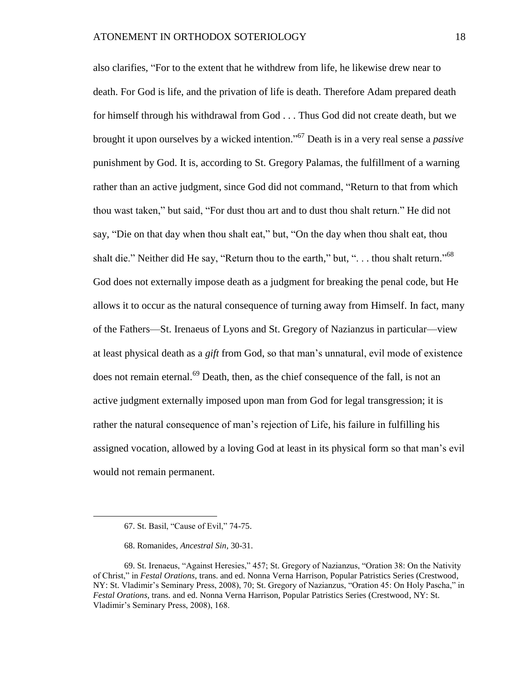also clarifies, "For to the extent that he withdrew from life, he likewise drew near to death. For God is life, and the privation of life is death. Therefore Adam prepared death for himself through his withdrawal from God . . . Thus God did not create death, but we brought it upon ourselves by a wicked intention." <sup>67</sup> Death is in a very real sense a *passive* punishment by God. It is, according to St. Gregory Palamas, the fulfillment of a warning rather than an active judgment, since God did not command, "Return to that from which thou wast taken," but said, "For dust thou art and to dust thou shalt return." He did not say, "Die on that day when thou shalt eat," but, "On the day when thou shalt eat, thou shalt die." Neither did He say, "Return thou to the earth," but, "... thou shalt return."<sup>68</sup> God does not externally impose death as a judgment for breaking the penal code, but He allows it to occur as the natural consequence of turning away from Himself. In fact, many of the Fathers—St. Irenaeus of Lyons and St. Gregory of Nazianzus in particular—view at least physical death as a *gift* from God, so that man"s unnatural, evil mode of existence does not remain eternal.<sup>69</sup> Death, then, as the chief consequence of the fall, is not an active judgment externally imposed upon man from God for legal transgression; it is rather the natural consequence of man"s rejection of Life, his failure in fulfilling his assigned vocation, allowed by a loving God at least in its physical form so that man"s evil would not remain permanent.

<sup>67.</sup> St. Basil, "Cause of Evil," 74-75.

<sup>68.</sup> Romanides, *Ancestral Sin*, 30-31.

<sup>69.</sup> St. Irenaeus, "Against Heresies," 457; St. Gregory of Nazianzus, "Oration 38: On the Nativity of Christ," in *Festal Orations*, trans. and ed. Nonna Verna Harrison, Popular Patristics Series (Crestwood, NY: St. Vladimir"s Seminary Press, 2008), 70; St. Gregory of Nazianzus, "Oration 45: On Holy Pascha," in *Festal Orations*, trans. and ed. Nonna Verna Harrison, Popular Patristics Series (Crestwood, NY: St. Vladimir"s Seminary Press, 2008), 168.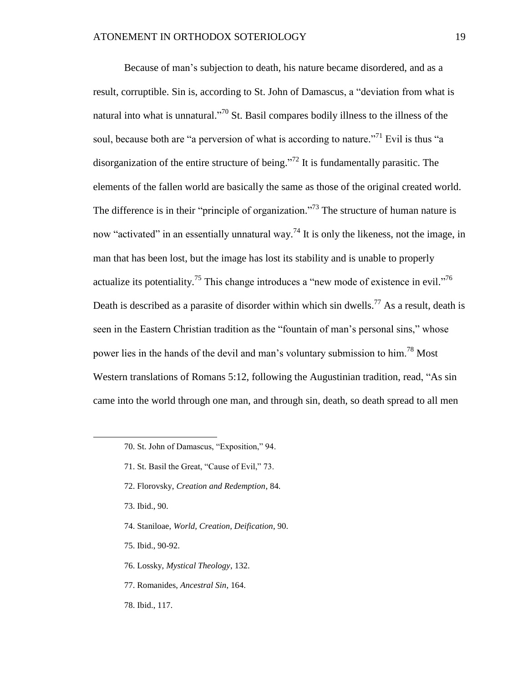Because of man"s subjection to death, his nature became disordered, and as a result, corruptible. Sin is, according to St. John of Damascus, a "deviation from what is natural into what is unnatural."<sup>70</sup> St. Basil compares bodily illness to the illness of the soul, because both are "a perversion of what is according to nature."<sup>71</sup> Evil is thus "a disorganization of the entire structure of being."<sup>72</sup> It is fundamentally parasitic. The elements of the fallen world are basically the same as those of the original created world. The difference is in their "principle of organization."<sup>73</sup> The structure of human nature is now "activated" in an essentially unnatural way.<sup>74</sup> It is only the likeness, not the image, in man that has been lost, but the image has lost its stability and is unable to properly actualize its potentiality.<sup>75</sup> This change introduces a "new mode of existence in evil."<sup>76</sup> Death is described as a parasite of disorder within which sin dwells.<sup>77</sup> As a result, death is seen in the Eastern Christian tradition as the "fountain of man"s personal sins," whose power lies in the hands of the devil and man's voluntary submission to him.<sup>78</sup> Most Western translations of Romans 5:12, following the Augustinian tradition, read, "As sin came into the world through one man, and through sin, death, so death spread to all men

- 72. Florovsky, *Creation and Redemption*, 84.
- 73. Ibid., 90.

- 74. Staniloae, *World, Creation, Deification*, 90.
- 75. Ibid., 90-92.
- 76. Lossky, *Mystical Theology*, 132.
- 77. Romanides, *Ancestral Sin*, 164.
- 78. Ibid., 117.

<sup>70.</sup> St. John of Damascus, "Exposition," 94.

<sup>71.</sup> St. Basil the Great, "Cause of Evil," 73.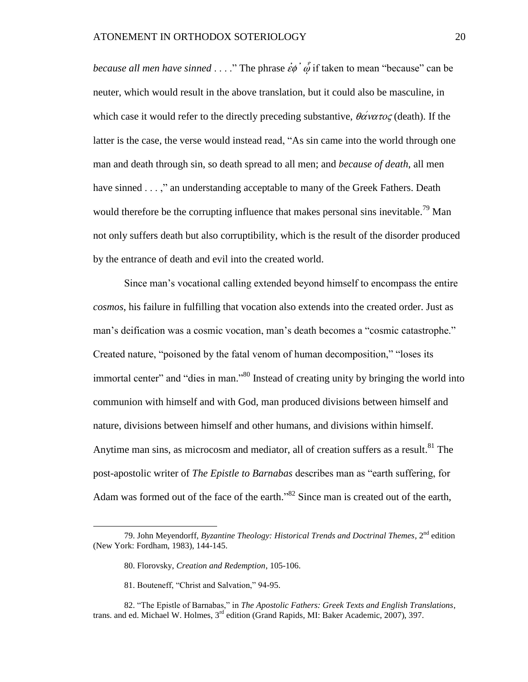*because all men have sinned* . . . ." The phrase  $\dot{\epsilon} \phi' \hat{\omega}$  if taken to mean "because" can be neuter, which would result in the above translation, but it could also be masculine, in which case it would refer to the directly preceding substantive,  $\theta \alpha \alpha \alpha \sigma c$  (death). If the latter is the case, the verse would instead read, "As sin came into the world through one man and death through sin, so death spread to all men; and *because of death*, all men have sinned . . . ," an understanding acceptable to many of the Greek Fathers. Death would therefore be the corrupting influence that makes personal sins inevitable.<sup>79</sup> Man not only suffers death but also corruptibility, which is the result of the disorder produced by the entrance of death and evil into the created world.

Since man"s vocational calling extended beyond himself to encompass the entire *cosmos*, his failure in fulfilling that vocation also extends into the created order. Just as man"s deification was a cosmic vocation, man"s death becomes a "cosmic catastrophe." Created nature, "poisoned by the fatal venom of human decomposition," "loses its immortal center" and "dies in man."<sup>80</sup> Instead of creating unity by bringing the world into communion with himself and with God, man produced divisions between himself and nature, divisions between himself and other humans, and divisions within himself. Anytime man sins, as microcosm and mediator, all of creation suffers as a result.<sup>81</sup> The post-apostolic writer of *The Epistle to Barnabas* describes man as "earth suffering, for Adam was formed out of the face of the earth.<sup>382</sup> Since man is created out of the earth,

<sup>79.</sup> John Meyendorff, *Byzantine Theology: Historical Trends and Doctrinal Themes*, 2nd edition (New York: Fordham, 1983), 144-145.

<sup>80.</sup> Florovsky, *Creation and Redemption*, 105-106.

<sup>81.</sup> Bouteneff, "Christ and Salvation," 94-95.

<sup>82.</sup> "The Epistle of Barnabas," in *The Apostolic Fathers: Greek Texts and English Translations*, trans. and ed. Michael W. Holmes, 3<sup>rd</sup> edition (Grand Rapids, MI: Baker Academic, 2007), 397.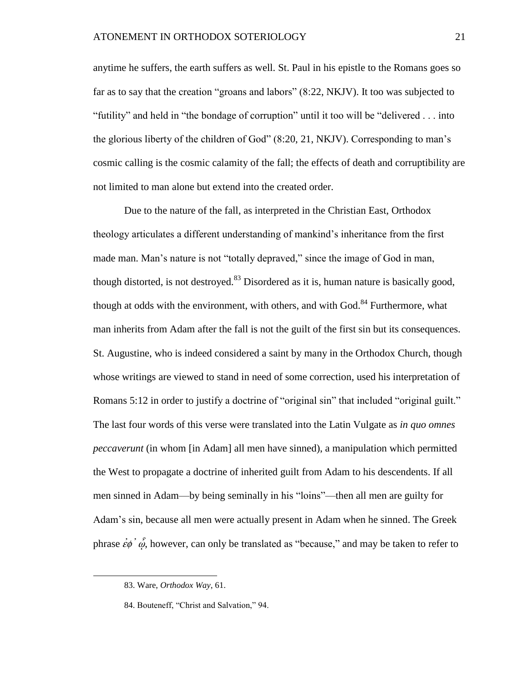anytime he suffers, the earth suffers as well. St. Paul in his epistle to the Romans goes so far as to say that the creation "groans and labors" (8:22, NKJV). It too was subjected to "futility" and held in "the bondage of corruption" until it too will be "delivered . . . into the glorious liberty of the children of God" (8:20, 21, NKJV). Corresponding to man"s cosmic calling is the cosmic calamity of the fall; the effects of death and corruptibility are not limited to man alone but extend into the created order.

Due to the nature of the fall, as interpreted in the Christian East, Orthodox theology articulates a different understanding of mankind"s inheritance from the first made man. Man's nature is not "totally depraved," since the image of God in man, though distorted, is not destroyed.<sup>83</sup> Disordered as it is, human nature is basically good, though at odds with the environment, with others, and with  $God<sup>84</sup> Furthermore, what$ man inherits from Adam after the fall is not the guilt of the first sin but its consequences. St. Augustine, who is indeed considered a saint by many in the Orthodox Church, though whose writings are viewed to stand in need of some correction, used his interpretation of Romans 5:12 in order to justify a doctrine of "original sin" that included "original guilt." The last four words of this verse were translated into the Latin Vulgate as *in quo omnes peccaverunt* (in whom [in Adam] all men have sinned), a manipulation which permitted the West to propagate a doctrine of inherited guilt from Adam to his descendents. If all men sinned in Adam—by being seminally in his "loins"—then all men are guilty for Adam"s sin, because all men were actually present in Adam when he sinned. The Greek phrase  $\dot{\epsilon} \dot{\phi}$ , however, can only be translated as "because," and may be taken to refer to

<sup>83.</sup> Ware, *Orthodox Way*, 61.

<sup>84.</sup> Bouteneff, "Christ and Salvation," 94.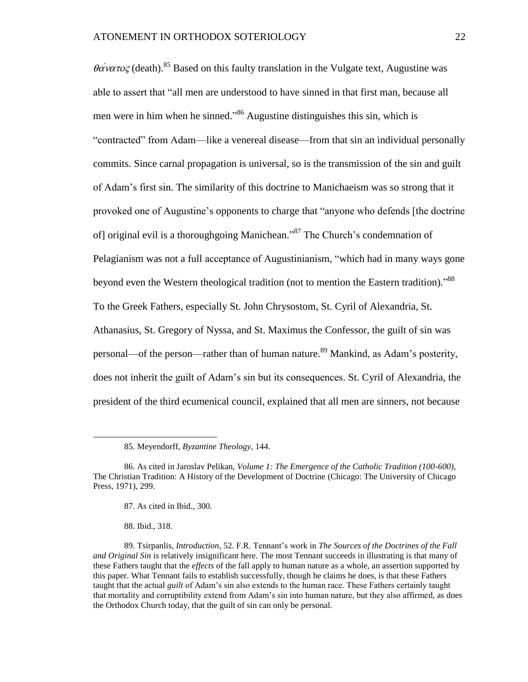$\theta \alpha \alpha \tau$  (death).<sup>85</sup> Based on this faulty translation in the Vulgate text, Augustine was able to assert that "all men are understood to have sinned in that first man, because all men were in him when he sinned."<sup>86</sup> Augustine distinguishes this sin, which is "contracted" from Adam—like a venereal disease—from that sin an individual personally commits. Since carnal propagation is universal, so is the transmission of the sin and guilt of Adam"s first sin. The similarity of this doctrine to Manichaeism was so strong that it provoked one of Augustine's opponents to charge that "anyone who defends [the doctrine of] original evil is a thoroughgoing Manichean."<sup>87</sup> The Church's condemnation of Pelagianism was not a full acceptance of Augustinianism, "which had in many ways gone beyond even the Western theological tradition (not to mention the Eastern tradition)."<sup>88</sup> To the Greek Fathers, especially St. John Chrysostom, St. Cyril of Alexandria, St. Athanasius, St. Gregory of Nyssa, and St. Maximus the Confessor, the guilt of sin was personal—of the person—rather than of human nature.<sup>89</sup> Mankind, as Adam's posterity, does not inherit the guilt of Adam"s sin but its consequences. St. Cyril of Alexandria, the president of the third ecumenical council, explained that all men are sinners, not because

87. As cited in Ibid., 300.

88. Ibid., 318.

<sup>85.</sup> Meyendorff, *Byzantine Theology*, 144.

<sup>86.</sup> As cited in Jaroslav Pelikan, *Volume 1: The Emergence of the Catholic Tradition (100-600)*, The Christian Tradition: A History of the Development of Doctrine (Chicago: The University of Chicago Press, 1971), 299.

<sup>89.</sup> Tsirpanlis, *Introduction*, 52. F.R. Tennant"s work in *The Sources of the Doctrines of the Fall and Original Sin* is relatively insignificant here. The most Tennant succeeds in illustrating is that many of these Fathers taught that the *effects* of the fall apply to human nature as a whole, an assertion supported by this paper. What Tennant fails to establish successfully, though he claims he does, is that these Fathers taught that the actual *guilt* of Adam"s sin also extends to the human race. These Fathers certainly taught that mortality and corruptibility extend from Adam"s sin into human nature, but they also affirmed, as does the Orthodox Church today, that the guilt of sin can only be personal.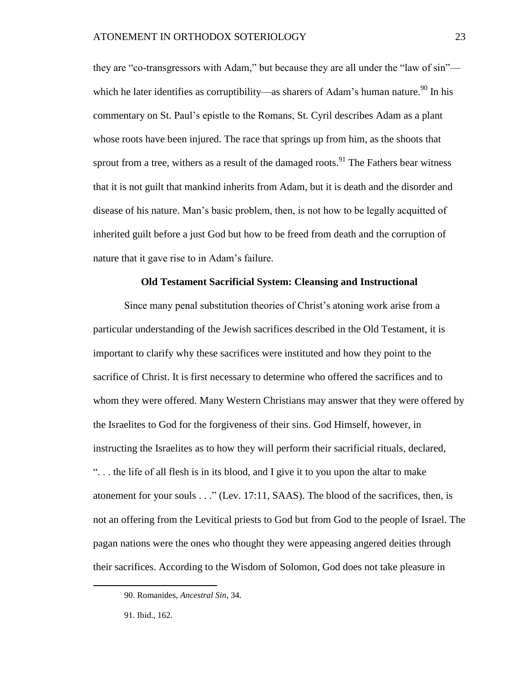they are "co-transgressors with Adam," but because they are all under the "law of sin" which he later identifies as corruptibility—as sharers of Adam's human nature.<sup>90</sup> In his commentary on St. Paul"s epistle to the Romans, St. Cyril describes Adam as a plant whose roots have been injured. The race that springs up from him, as the shoots that sprout from a tree, withers as a result of the damaged roots.<sup>91</sup> The Fathers bear witness that it is not guilt that mankind inherits from Adam, but it is death and the disorder and disease of his nature. Man"s basic problem, then, is not how to be legally acquitted of inherited guilt before a just God but how to be freed from death and the corruption of nature that it gave rise to in Adam"s failure.

### **Old Testament Sacrificial System: Cleansing and Instructional**

Since many penal substitution theories of Christ"s atoning work arise from a particular understanding of the Jewish sacrifices described in the Old Testament, it is important to clarify why these sacrifices were instituted and how they point to the sacrifice of Christ. It is first necessary to determine who offered the sacrifices and to whom they were offered. Many Western Christians may answer that they were offered by the Israelites to God for the forgiveness of their sins. God Himself, however, in instructing the Israelites as to how they will perform their sacrificial rituals, declared, ". . . the life of all flesh is in its blood, and I give it to you upon the altar to make atonement for your souls . . ." (Lev. 17:11, SAAS). The blood of the sacrifices, then, is not an offering from the Levitical priests to God but from God to the people of Israel. The pagan nations were the ones who thought they were appeasing angered deities through their sacrifices. According to the Wisdom of Solomon, God does not take pleasure in

<sup>90.</sup> Romanides, *Ancestral Sin*, 34.

<sup>91.</sup> Ibid., 162.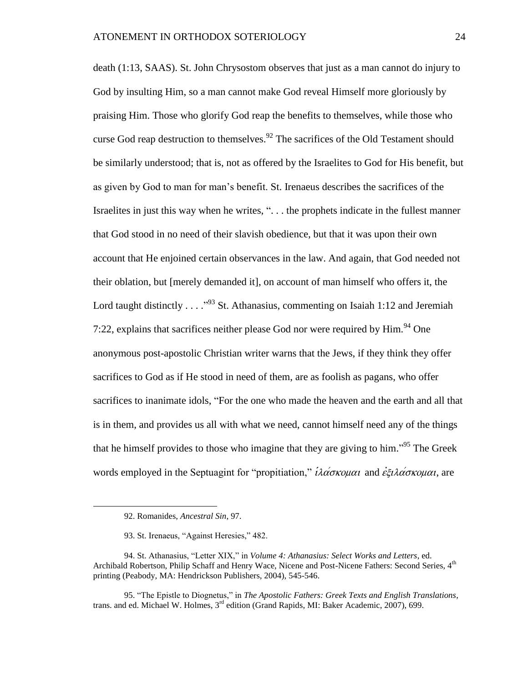death (1:13, SAAS). St. John Chrysostom observes that just as a man cannot do injury to God by insulting Him, so a man cannot make God reveal Himself more gloriously by praising Him. Those who glorify God reap the benefits to themselves, while those who curse God reap destruction to themselves.<sup>92</sup> The sacrifices of the Old Testament should be similarly understood; that is, not as offered by the Israelites to God for His benefit, but as given by God to man for man"s benefit. St. Irenaeus describes the sacrifices of the Israelites in just this way when he writes, ". . . the prophets indicate in the fullest manner that God stood in no need of their slavish obedience, but that it was upon their own account that He enjoined certain observances in the law. And again, that God needed not their oblation, but [merely demanded it], on account of man himself who offers it, the Lord taught distinctly  $\ldots$  ."<sup>93</sup> St. Athanasius, commenting on Isaiah 1:12 and Jeremiah 7:22, explains that sacrifices neither please God nor were required by  $\text{Him.}^{94}$  One anonymous post-apostolic Christian writer warns that the Jews, if they think they offer sacrifices to God as if He stood in need of them, are as foolish as pagans, who offer sacrifices to inanimate idols, "For the one who made the heaven and the earth and all that is in them, and provides us all with what we need, cannot himself need any of the things that he himself provides to those who imagine that they are giving to him."<sup>95</sup> The Greek words employed in the Septuagint for "propitiation,"  $i\lambda\alpha\sigma\kappa\alpha\mu\alpha\imath$  and  $\dot{\epsilon}\xi\imath\lambda\alpha\sigma\kappa\alpha\mu\alpha\imath$ , are

 $\overline{a}$ 

95. "The Epistle to Diognetus," in *The Apostolic Fathers: Greek Texts and English Translations*, trans. and ed. Michael W. Holmes, 3<sup>rd</sup> edition (Grand Rapids, MI: Baker Academic, 2007), 699.

<sup>92.</sup> Romanides, *Ancestral Sin*, 97.

<sup>93.</sup> St. Irenaeus, "Against Heresies," 482.

<sup>94.</sup> St. Athanasius, "Letter XIX," in *Volume 4: Athanasius: Select Works and Letters*, ed. Archibald Robertson, Philip Schaff and Henry Wace, Nicene and Post-Nicene Fathers: Second Series, 4<sup>th</sup> printing (Peabody, MA: Hendrickson Publishers, 2004), 545-546.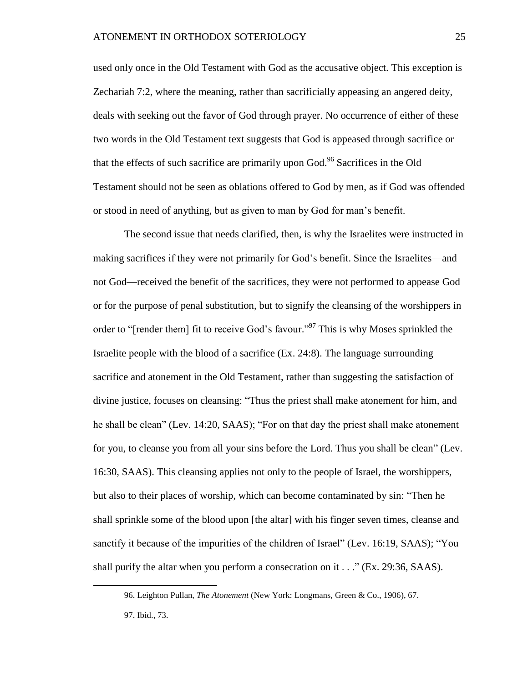used only once in the Old Testament with God as the accusative object. This exception is Zechariah 7:2, where the meaning, rather than sacrificially appeasing an angered deity, deals with seeking out the favor of God through prayer. No occurrence of either of these two words in the Old Testament text suggests that God is appeased through sacrifice or that the effects of such sacrifice are primarily upon God.<sup>96</sup> Sacrifices in the Old Testament should not be seen as oblations offered to God by men, as if God was offended or stood in need of anything, but as given to man by God for man"s benefit.

The second issue that needs clarified, then, is why the Israelites were instructed in making sacrifices if they were not primarily for God"s benefit. Since the Israelites—and not God—received the benefit of the sacrifices, they were not performed to appease God or for the purpose of penal substitution, but to signify the cleansing of the worshippers in order to "[render them] fit to receive God's favour."<sup>97</sup> This is why Moses sprinkled the Israelite people with the blood of a sacrifice (Ex. 24:8). The language surrounding sacrifice and atonement in the Old Testament, rather than suggesting the satisfaction of divine justice, focuses on cleansing: "Thus the priest shall make atonement for him, and he shall be clean" (Lev. 14:20, SAAS); "For on that day the priest shall make atonement for you, to cleanse you from all your sins before the Lord. Thus you shall be clean" (Lev. 16:30, SAAS). This cleansing applies not only to the people of Israel, the worshippers, but also to their places of worship, which can become contaminated by sin: "Then he shall sprinkle some of the blood upon [the altar] with his finger seven times, cleanse and sanctify it because of the impurities of the children of Israel" (Lev. 16:19, SAAS); "You shall purify the altar when you perform a consecration on it . . ." (Ex. 29:36, SAAS).

<sup>96.</sup> Leighton Pullan, *The Atonement* (New York: Longmans, Green & Co., 1906), 67.

<sup>97.</sup> Ibid., 73.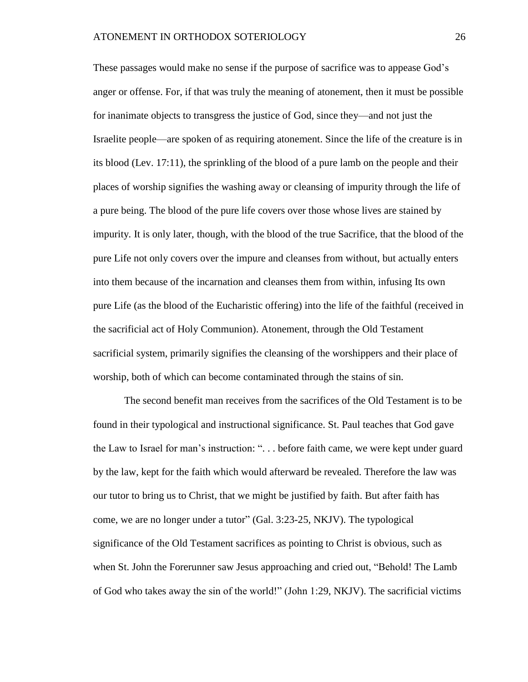These passages would make no sense if the purpose of sacrifice was to appease God"s anger or offense. For, if that was truly the meaning of atonement, then it must be possible for inanimate objects to transgress the justice of God, since they—and not just the Israelite people—are spoken of as requiring atonement. Since the life of the creature is in its blood (Lev. 17:11), the sprinkling of the blood of a pure lamb on the people and their places of worship signifies the washing away or cleansing of impurity through the life of a pure being. The blood of the pure life covers over those whose lives are stained by impurity. It is only later, though, with the blood of the true Sacrifice, that the blood of the pure Life not only covers over the impure and cleanses from without, but actually enters into them because of the incarnation and cleanses them from within, infusing Its own pure Life (as the blood of the Eucharistic offering) into the life of the faithful (received in the sacrificial act of Holy Communion). Atonement, through the Old Testament sacrificial system, primarily signifies the cleansing of the worshippers and their place of worship, both of which can become contaminated through the stains of sin.

The second benefit man receives from the sacrifices of the Old Testament is to be found in their typological and instructional significance. St. Paul teaches that God gave the Law to Israel for man"s instruction: ". . . before faith came, we were kept under guard by the law, kept for the faith which would afterward be revealed. Therefore the law was our tutor to bring us to Christ, that we might be justified by faith. But after faith has come, we are no longer under a tutor" (Gal. 3:23-25, NKJV). The typological significance of the Old Testament sacrifices as pointing to Christ is obvious, such as when St. John the Forerunner saw Jesus approaching and cried out, "Behold! The Lamb" of God who takes away the sin of the world!" (John 1:29, NKJV). The sacrificial victims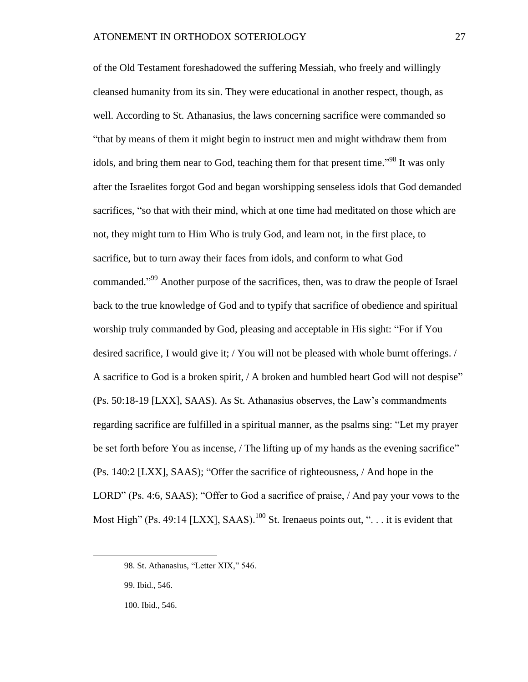of the Old Testament foreshadowed the suffering Messiah, who freely and willingly cleansed humanity from its sin. They were educational in another respect, though, as well. According to St. Athanasius, the laws concerning sacrifice were commanded so "that by means of them it might begin to instruct men and might withdraw them from idols, and bring them near to God, teaching them for that present time."<sup>98</sup> It was only after the Israelites forgot God and began worshipping senseless idols that God demanded sacrifices, "so that with their mind, which at one time had meditated on those which are not, they might turn to Him Who is truly God, and learn not, in the first place, to sacrifice, but to turn away their faces from idols, and conform to what God commanded."<sup>99</sup> Another purpose of the sacrifices, then, was to draw the people of Israel back to the true knowledge of God and to typify that sacrifice of obedience and spiritual worship truly commanded by God, pleasing and acceptable in His sight: "For if You desired sacrifice, I would give it; / You will not be pleased with whole burnt offerings. / A sacrifice to God is a broken spirit, / A broken and humbled heart God will not despise" (Ps. 50:18-19 [LXX], SAAS). As St. Athanasius observes, the Law"s commandments regarding sacrifice are fulfilled in a spiritual manner, as the psalms sing: "Let my prayer be set forth before You as incense, / The lifting up of my hands as the evening sacrifice" (Ps. 140:2 [LXX], SAAS); "Offer the sacrifice of righteousness, / And hope in the LORD" (Ps. 4:6, SAAS); "Offer to God a sacrifice of praise, / And pay your vows to the Most High" (Ps. 49:14 [LXX], SAAS).<sup>100</sup> St. Irenaeus points out, "... it is evident that

<sup>98.</sup> St. Athanasius, "Letter XIX," 546.

<sup>99.</sup> Ibid., 546.

<sup>100.</sup> Ibid., 546.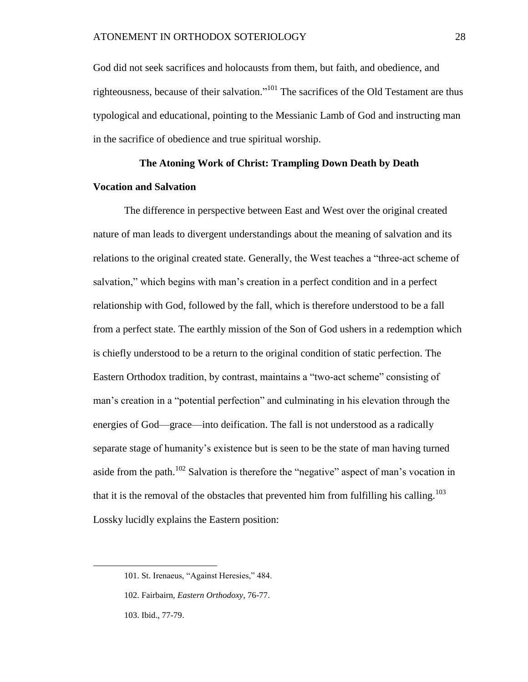God did not seek sacrifices and holocausts from them, but faith, and obedience, and righteousness, because of their salvation."<sup>101</sup> The sacrifices of the Old Testament are thus typological and educational, pointing to the Messianic Lamb of God and instructing man in the sacrifice of obedience and true spiritual worship.

# **The Atoning Work of Christ: Trampling Down Death by Death Vocation and Salvation**

The difference in perspective between East and West over the original created nature of man leads to divergent understandings about the meaning of salvation and its relations to the original created state. Generally, the West teaches a "three-act scheme of salvation," which begins with man"s creation in a perfect condition and in a perfect relationship with God, followed by the fall, which is therefore understood to be a fall from a perfect state. The earthly mission of the Son of God ushers in a redemption which is chiefly understood to be a return to the original condition of static perfection. The Eastern Orthodox tradition, by contrast, maintains a "two-act scheme" consisting of man"s creation in a "potential perfection" and culminating in his elevation through the energies of God—grace—into deification. The fall is not understood as a radically separate stage of humanity's existence but is seen to be the state of man having turned aside from the path.<sup>102</sup> Salvation is therefore the "negative" aspect of man's vocation in that it is the removal of the obstacles that prevented him from fulfilling his calling.<sup>103</sup> Lossky lucidly explains the Eastern position:

<sup>101.</sup> St. Irenaeus, "Against Heresies," 484.

<sup>102.</sup> Fairbairn, *Eastern Orthodoxy*, 76-77.

<sup>103.</sup> Ibid., 77-79.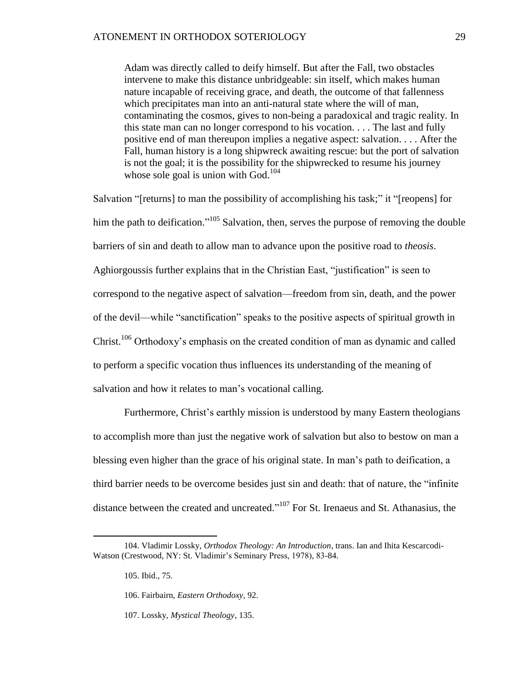Adam was directly called to deify himself. But after the Fall, two obstacles intervene to make this distance unbridgeable: sin itself, which makes human nature incapable of receiving grace, and death, the outcome of that fallenness which precipitates man into an anti-natural state where the will of man, contaminating the cosmos, gives to non-being a paradoxical and tragic reality. In this state man can no longer correspond to his vocation. . . . The last and fully positive end of man thereupon implies a negative aspect: salvation. . . . After the Fall, human history is a long shipwreck awaiting rescue: but the port of salvation is not the goal; it is the possibility for the shipwrecked to resume his journey whose sole goal is union with God.<sup>104</sup>

Salvation "[returns] to man the possibility of accomplishing his task;" it "[reopens] for him the path to deification."<sup>105</sup> Salvation, then, serves the purpose of removing the double barriers of sin and death to allow man to advance upon the positive road to *theosis*. Aghiorgoussis further explains that in the Christian East, "justification" is seen to correspond to the negative aspect of salvation—freedom from sin, death, and the power of the devil—while "sanctification" speaks to the positive aspects of spiritual growth in Christ.<sup>106</sup> Orthodoxy's emphasis on the created condition of man as dynamic and called to perform a specific vocation thus influences its understanding of the meaning of salvation and how it relates to man's vocational calling.

Furthermore, Christ's earthly mission is understood by many Eastern theologians to accomplish more than just the negative work of salvation but also to bestow on man a blessing even higher than the grace of his original state. In man"s path to deification, a third barrier needs to be overcome besides just sin and death: that of nature, the "infinite distance between the created and uncreated."<sup>107</sup> For St. Irenaeus and St. Athanasius, the

 $\overline{a}$ 

107. Lossky, *Mystical Theology*, 135.

<sup>104.</sup> Vladimir Lossky, *Orthodox Theology: An Introduction*, trans. Ian and Ihita Kescarcodi-Watson (Crestwood, NY: St. Vladimir's Seminary Press, 1978), 83-84.

<sup>105.</sup> Ibid., 75.

<sup>106.</sup> Fairbairn, *Eastern Orthodoxy*, 92.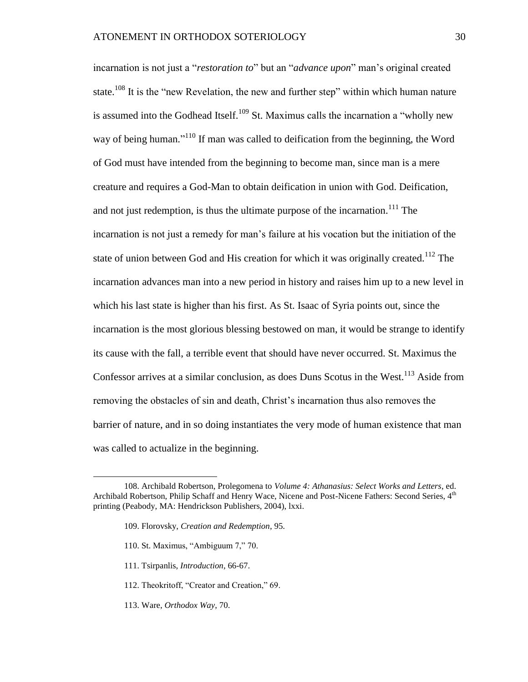incarnation is not just a "*restoration to*" but an "*advance upon*" man"s original created state.<sup>108</sup> It is the "new Revelation, the new and further step" within which human nature is assumed into the Godhead Itself.<sup>109</sup> St. Maximus calls the incarnation a "wholly new way of being human."<sup>110</sup> If man was called to deification from the beginning, the Word of God must have intended from the beginning to become man, since man is a mere creature and requires a God-Man to obtain deification in union with God. Deification, and not just redemption, is thus the ultimate purpose of the incarnation.<sup>111</sup> The incarnation is not just a remedy for man"s failure at his vocation but the initiation of the state of union between God and His creation for which it was originally created.<sup>112</sup> The incarnation advances man into a new period in history and raises him up to a new level in which his last state is higher than his first. As St. Isaac of Syria points out, since the incarnation is the most glorious blessing bestowed on man, it would be strange to identify its cause with the fall, a terrible event that should have never occurred. St. Maximus the Confessor arrives at a similar conclusion, as does Duns Scotus in the West.<sup>113</sup> Aside from removing the obstacles of sin and death, Christ"s incarnation thus also removes the barrier of nature, and in so doing instantiates the very mode of human existence that man was called to actualize in the beginning.

- 109. Florovsky, *Creation and Redemption*, 95.
- 110. St. Maximus, "Ambiguum 7," 70.
- 111. Tsirpanlis, *Introduction*, 66-67.
- 112. Theokritoff, "Creator and Creation," 69.
- 113. Ware, *Orthodox Way*, 70.

<sup>108.</sup> Archibald Robertson, Prolegomena to *Volume 4: Athanasius: Select Works and Letters*, ed. Archibald Robertson, Philip Schaff and Henry Wace, Nicene and Post-Nicene Fathers: Second Series, 4<sup>th</sup> printing (Peabody, MA: Hendrickson Publishers, 2004), lxxi.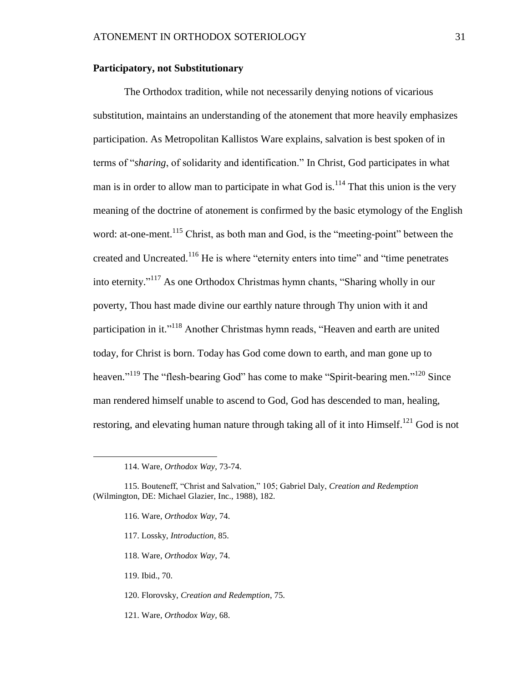# **Participatory, not Substitutionary**

The Orthodox tradition, while not necessarily denying notions of vicarious substitution, maintains an understanding of the atonement that more heavily emphasizes participation. As Metropolitan Kallistos Ware explains, salvation is best spoken of in terms of "*sharing*, of solidarity and identification." In Christ, God participates in what man is in order to allow man to participate in what God is.<sup>114</sup> That this union is the very meaning of the doctrine of atonement is confirmed by the basic etymology of the English word: at-one-ment.<sup>115</sup> Christ, as both man and God, is the "meeting-point" between the created and Uncreated.<sup>116</sup> He is where "eternity enters into time" and "time penetrates into eternity." <sup>117</sup> As one Orthodox Christmas hymn chants, "Sharing wholly in our poverty, Thou hast made divine our earthly nature through Thy union with it and participation in it."<sup>118</sup> Another Christmas hymn reads, "Heaven and earth are united today, for Christ is born. Today has God come down to earth, and man gone up to heaven."<sup>119</sup> The "flesh-bearing God" has come to make "Spirit-bearing men."<sup>120</sup> Since man rendered himself unable to ascend to God, God has descended to man, healing, restoring, and elevating human nature through taking all of it into Himself.<sup>121</sup> God is not

- 116. Ware, *Orthodox Way*, 74.
- 117. Lossky, *Introduction*, 85.
- 118. Ware, *Orthodox Way*, 74.
- 119. Ibid., 70.

- 120. Florovsky, *Creation and Redemption*, 75.
- 121. Ware, *Orthodox Way*, 68.

<sup>114.</sup> Ware, *Orthodox Way*, 73-74.

<sup>115.</sup> Bouteneff, "Christ and Salvation," 105; Gabriel Daly, *Creation and Redemption* (Wilmington, DE: Michael Glazier, Inc., 1988), 182.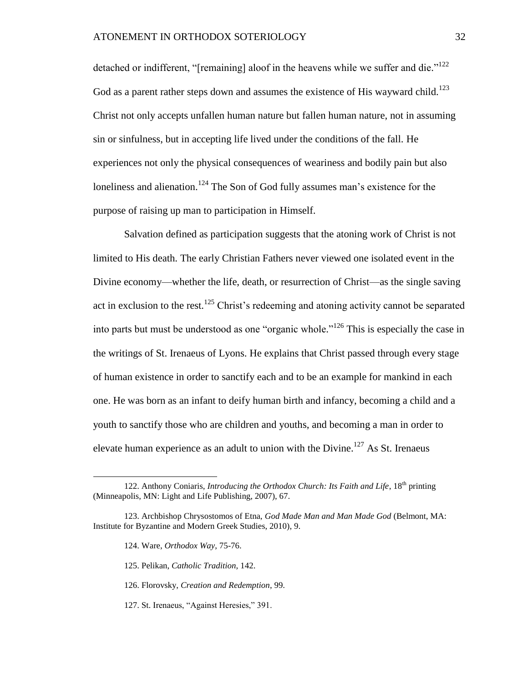detached or indifferent, "[remaining] aloof in the heavens while we suffer and die."<sup>122</sup> God as a parent rather steps down and assumes the existence of His wayward child.<sup>123</sup> Christ not only accepts unfallen human nature but fallen human nature, not in assuming sin or sinfulness, but in accepting life lived under the conditions of the fall. He experiences not only the physical consequences of weariness and bodily pain but also loneliness and alienation.<sup>124</sup> The Son of God fully assumes man's existence for the purpose of raising up man to participation in Himself.

Salvation defined as participation suggests that the atoning work of Christ is not limited to His death. The early Christian Fathers never viewed one isolated event in the Divine economy—whether the life, death, or resurrection of Christ—as the single saving act in exclusion to the rest.<sup>125</sup> Christ's redeeming and atoning activity cannot be separated into parts but must be understood as one "organic whole."<sup>126</sup> This is especially the case in the writings of St. Irenaeus of Lyons. He explains that Christ passed through every stage of human existence in order to sanctify each and to be an example for mankind in each one. He was born as an infant to deify human birth and infancy, becoming a child and a youth to sanctify those who are children and youths, and becoming a man in order to elevate human experience as an adult to union with the Divine.<sup>127</sup> As St. Irenaeus

 $\overline{a}$ 

127. St. Irenaeus, "Against Heresies," 391.

<sup>122.</sup> Anthony Coniaris, *Introducing the Orthodox Church: Its Faith and Life*, 18<sup>th</sup> printing (Minneapolis, MN: Light and Life Publishing, 2007), 67.

<sup>123.</sup> Archbishop Chrysostomos of Etna, *God Made Man and Man Made God* (Belmont, MA: Institute for Byzantine and Modern Greek Studies, 2010), 9.

<sup>124.</sup> Ware, *Orthodox Way*, 75-76.

<sup>125.</sup> Pelikan, *Catholic Tradition*, 142.

<sup>126.</sup> Florovsky, *Creation and Redemption*, 99.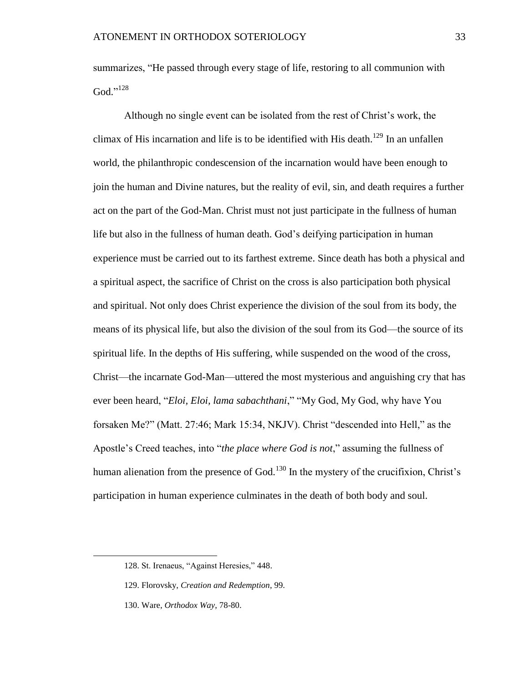summarizes, "He passed through every stage of life, restoring to all communion with God." 128

Although no single event can be isolated from the rest of Christ"s work, the climax of His incarnation and life is to be identified with His death.<sup>129</sup> In an unfallen world, the philanthropic condescension of the incarnation would have been enough to join the human and Divine natures, but the reality of evil, sin, and death requires a further act on the part of the God-Man. Christ must not just participate in the fullness of human life but also in the fullness of human death. God"s deifying participation in human experience must be carried out to its farthest extreme. Since death has both a physical and a spiritual aspect, the sacrifice of Christ on the cross is also participation both physical and spiritual. Not only does Christ experience the division of the soul from its body, the means of its physical life, but also the division of the soul from its God—the source of its spiritual life. In the depths of His suffering, while suspended on the wood of the cross, Christ—the incarnate God-Man—uttered the most mysterious and anguishing cry that has ever been heard, "*Eloi, Eloi, lama sabachthani*," "My God, My God, why have You forsaken Me?" (Matt. 27:46; Mark 15:34, NKJV). Christ "descended into Hell," as the Apostle"s Creed teaches, into "*the place where God is not*," assuming the fullness of human alienation from the presence of  $God.<sup>130</sup>$  In the mystery of the crucifixion, Christ's participation in human experience culminates in the death of both body and soul.

130. Ware, *Orthodox Way*, 78-80.

<sup>128.</sup> St. Irenaeus, "Against Heresies," 448.

<sup>129.</sup> Florovsky, *Creation and Redemption*, 99.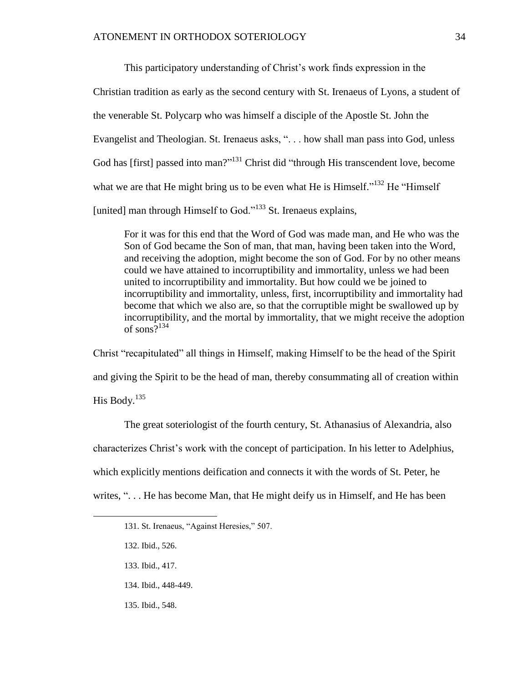This participatory understanding of Christ"s work finds expression in the Christian tradition as early as the second century with St. Irenaeus of Lyons, a student of the venerable St. Polycarp who was himself a disciple of the Apostle St. John the Evangelist and Theologian. St. Irenaeus asks, ". . . how shall man pass into God, unless God has [first] passed into man?"<sup>131</sup> Christ did "through His transcendent love, become what we are that He might bring us to be even what He is  $Himself.^{132}$  He "Himself" [united] man through Himself to God."<sup>133</sup> St. Irenaeus explains,

For it was for this end that the Word of God was made man, and He who was the Son of God became the Son of man, that man, having been taken into the Word, and receiving the adoption, might become the son of God. For by no other means could we have attained to incorruptibility and immortality, unless we had been united to incorruptibility and immortality. But how could we be joined to incorruptibility and immortality, unless, first, incorruptibility and immortality had become that which we also are, so that the corruptible might be swallowed up by incorruptibility, and the mortal by immortality, that we might receive the adoption of sons $\overline{?}^{134}$ 

Christ "recapitulated" all things in Himself, making Himself to be the head of the Spirit and giving the Spirit to be the head of man, thereby consummating all of creation within His Body.<sup>135</sup>

The great soteriologist of the fourth century, St. Athanasius of Alexandria, also characterizes Christ"s work with the concept of participation. In his letter to Adelphius, which explicitly mentions deification and connects it with the words of St. Peter, he writes, "... He has become Man, that He might deify us in Himself, and He has been

132. Ibid., 526.

- 133. Ibid., 417.
- 134. Ibid., 448-449.
- 135. Ibid., 548.

<sup>131.</sup> St. Irenaeus, "Against Heresies," 507.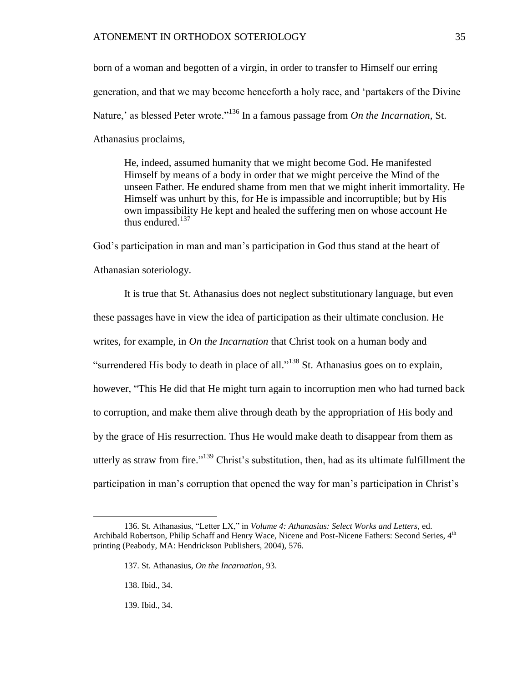born of a woman and begotten of a virgin, in order to transfer to Himself our erring generation, and that we may become henceforth a holy race, and "partakers of the Divine Nature,' as blessed Peter wrote."<sup>136</sup> In a famous passage from *On the Incarnation*, St. Athanasius proclaims,

He, indeed, assumed humanity that we might become God. He manifested Himself by means of a body in order that we might perceive the Mind of the unseen Father. He endured shame from men that we might inherit immortality. He Himself was unhurt by this, for He is impassible and incorruptible; but by His own impassibility He kept and healed the suffering men on whose account He thus endured.<sup>137</sup>

God"s participation in man and man"s participation in God thus stand at the heart of Athanasian soteriology.

It is true that St. Athanasius does not neglect substitutionary language, but even these passages have in view the idea of participation as their ultimate conclusion. He writes, for example, in *On the Incarnation* that Christ took on a human body and "surrendered His body to death in place of all."<sup>138</sup> St. Athanasius goes on to explain, however, "This He did that He might turn again to incorruption men who had turned back to corruption, and make them alive through death by the appropriation of His body and by the grace of His resurrection. Thus He would make death to disappear from them as utterly as straw from fire."<sup>139</sup> Christ's substitution, then, had as its ultimate fulfillment the participation in man"s corruption that opened the way for man"s participation in Christ"s

<sup>136.</sup> St. Athanasius, "Letter LX," in *Volume 4: Athanasius: Select Works and Letters*, ed. Archibald Robertson, Philip Schaff and Henry Wace, Nicene and Post-Nicene Fathers: Second Series, 4<sup>th</sup> printing (Peabody, MA: Hendrickson Publishers, 2004), 576.

<sup>137.</sup> St. Athanasius, *On the Incarnation*, 93.

<sup>138.</sup> Ibid., 34.

<sup>139.</sup> Ibid., 34.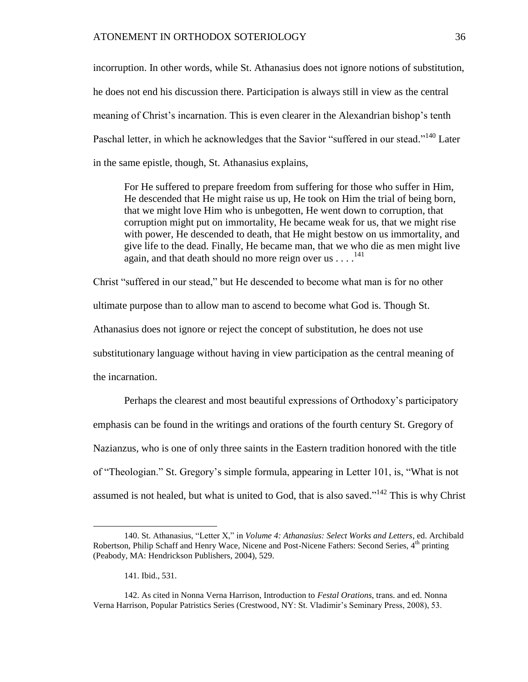incorruption. In other words, while St. Athanasius does not ignore notions of substitution, he does not end his discussion there. Participation is always still in view as the central meaning of Christ's incarnation. This is even clearer in the Alexandrian bishop's tenth Paschal letter, in which he acknowledges that the Savior "suffered in our stead."<sup>140</sup> Later in the same epistle, though, St. Athanasius explains,

For He suffered to prepare freedom from suffering for those who suffer in Him, He descended that He might raise us up, He took on Him the trial of being born, that we might love Him who is unbegotten, He went down to corruption, that corruption might put on immortality, He became weak for us, that we might rise with power, He descended to death, that He might bestow on us immortality, and give life to the dead. Finally, He became man, that we who die as men might live again, and that death should no more reign over us  $\dots$ .<sup>141</sup>

Christ "suffered in our stead," but He descended to become what man is for no other ultimate purpose than to allow man to ascend to become what God is. Though St. Athanasius does not ignore or reject the concept of substitution, he does not use substitutionary language without having in view participation as the central meaning of the incarnation.

Perhaps the clearest and most beautiful expressions of Orthodoxy"s participatory emphasis can be found in the writings and orations of the fourth century St. Gregory of Nazianzus, who is one of only three saints in the Eastern tradition honored with the title of "Theologian." St. Gregory"s simple formula, appearing in Letter 101, is, "What is not assumed is not healed, but what is united to God, that is also saved."<sup>142</sup> This is why Christ

<sup>140.</sup> St. Athanasius, "Letter X," in *Volume 4: Athanasius: Select Works and Letters*, ed. Archibald Robertson, Philip Schaff and Henry Wace, Nicene and Post-Nicene Fathers: Second Series, 4<sup>th</sup> printing (Peabody, MA: Hendrickson Publishers, 2004), 529.

<sup>141.</sup> Ibid., 531.

<sup>142.</sup> As cited in Nonna Verna Harrison, Introduction to *Festal Orations*, trans. and ed. Nonna Verna Harrison, Popular Patristics Series (Crestwood, NY: St. Vladimir"s Seminary Press, 2008), 53.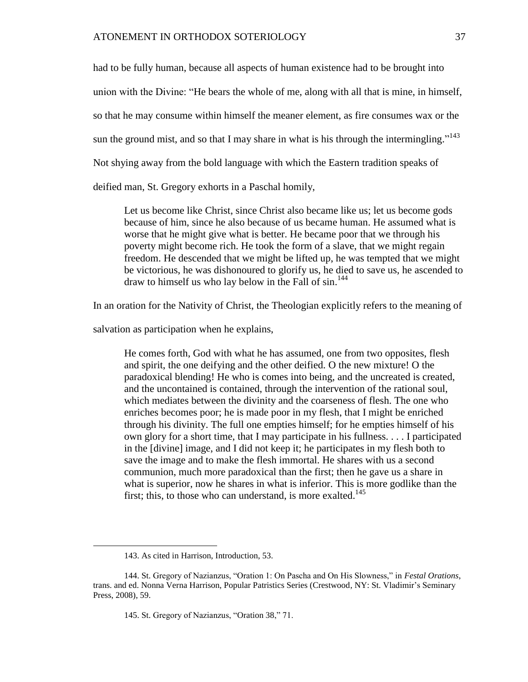had to be fully human, because all aspects of human existence had to be brought into union with the Divine: "He bears the whole of me, along with all that is mine, in himself, so that he may consume within himself the meaner element, as fire consumes wax or the sun the ground mist, and so that I may share in what is his through the intermingling."<sup>143</sup> Not shying away from the bold language with which the Eastern tradition speaks of

deified man, St. Gregory exhorts in a Paschal homily,

Let us become like Christ, since Christ also became like us; let us become gods because of him, since he also because of us became human. He assumed what is worse that he might give what is better. He became poor that we through his poverty might become rich. He took the form of a slave, that we might regain freedom. He descended that we might be lifted up, he was tempted that we might be victorious, he was dishonoured to glorify us, he died to save us, he ascended to draw to himself us who lay below in the Fall of sin.<sup>144</sup>

In an oration for the Nativity of Christ, the Theologian explicitly refers to the meaning of

salvation as participation when he explains,

He comes forth, God with what he has assumed, one from two opposites, flesh and spirit, the one deifying and the other deified. O the new mixture! O the paradoxical blending! He who is comes into being, and the uncreated is created, and the uncontained is contained, through the intervention of the rational soul, which mediates between the divinity and the coarseness of flesh. The one who enriches becomes poor; he is made poor in my flesh, that I might be enriched through his divinity. The full one empties himself; for he empties himself of his own glory for a short time, that I may participate in his fullness. . . . I participated in the [divine] image, and I did not keep it; he participates in my flesh both to save the image and to make the flesh immortal. He shares with us a second communion, much more paradoxical than the first; then he gave us a share in what is superior, now he shares in what is inferior. This is more godlike than the first; this, to those who can understand, is more exalted.<sup>145</sup>

<sup>143.</sup> As cited in Harrison, Introduction, 53.

<sup>144.</sup> St. Gregory of Nazianzus, "Oration 1: On Pascha and On His Slowness," in *Festal Orations*, trans. and ed. Nonna Verna Harrison, Popular Patristics Series (Crestwood, NY: St. Vladimir"s Seminary Press, 2008), 59.

<sup>145.</sup> St. Gregory of Nazianzus, "Oration 38," 71.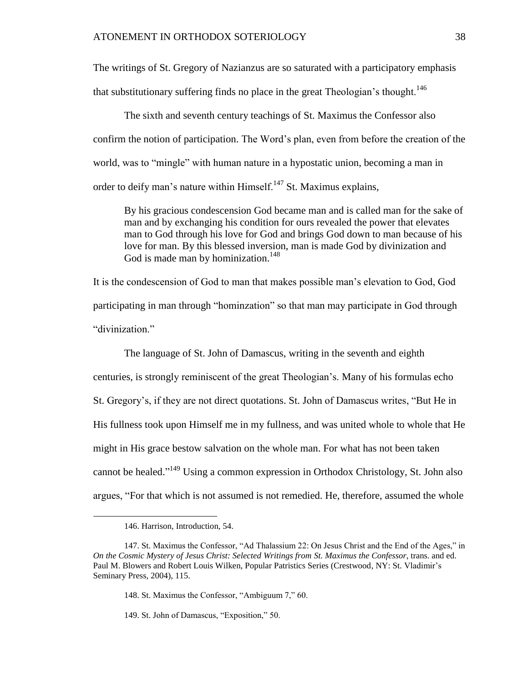The writings of St. Gregory of Nazianzus are so saturated with a participatory emphasis that substitutionary suffering finds no place in the great Theologian's thought.<sup>146</sup>

The sixth and seventh century teachings of St. Maximus the Confessor also confirm the notion of participation. The Word"s plan, even from before the creation of the world, was to "mingle" with human nature in a hypostatic union, becoming a man in order to deify man's nature within Himself.<sup>147</sup> St. Maximus explains,

By his gracious condescension God became man and is called man for the sake of man and by exchanging his condition for ours revealed the power that elevates man to God through his love for God and brings God down to man because of his love for man. By this blessed inversion, man is made God by divinization and God is made man by hominization.<sup>148</sup>

It is the condescension of God to man that makes possible man"s elevation to God, God participating in man through "hominzation" so that man may participate in God through "divinization."

The language of St. John of Damascus, writing in the seventh and eighth centuries, is strongly reminiscent of the great Theologian"s. Many of his formulas echo St. Gregory"s, if they are not direct quotations. St. John of Damascus writes, "But He in His fullness took upon Himself me in my fullness, and was united whole to whole that He might in His grace bestow salvation on the whole man. For what has not been taken cannot be healed."<sup>149</sup> Using a common expression in Orthodox Christology, St. John also argues, "For that which is not assumed is not remedied. He, therefore, assumed the whole

<sup>146.</sup> Harrison, Introduction, 54.

<sup>147.</sup> St. Maximus the Confessor, "Ad Thalassium 22: On Jesus Christ and the End of the Ages," in *On the Cosmic Mystery of Jesus Christ: Selected Writings from St. Maximus the Confessor*, trans. and ed. Paul M. Blowers and Robert Louis Wilken, Popular Patristics Series (Crestwood, NY: St. Vladimir"s Seminary Press, 2004), 115.

<sup>148.</sup> St. Maximus the Confessor, "Ambiguum 7," 60.

<sup>149.</sup> St. John of Damascus, "Exposition," 50.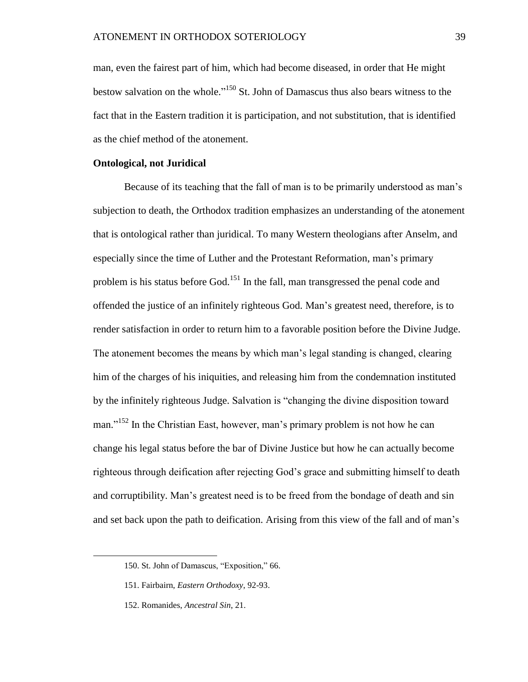man, even the fairest part of him, which had become diseased, in order that He might bestow salvation on the whole."<sup>150</sup> St. John of Damascus thus also bears witness to the fact that in the Eastern tradition it is participation, and not substitution, that is identified as the chief method of the atonement.

### **Ontological, not Juridical**

Because of its teaching that the fall of man is to be primarily understood as man"s subjection to death, the Orthodox tradition emphasizes an understanding of the atonement that is ontological rather than juridical. To many Western theologians after Anselm, and especially since the time of Luther and the Protestant Reformation, man"s primary problem is his status before God.<sup>151</sup> In the fall, man transgressed the penal code and offended the justice of an infinitely righteous God. Man"s greatest need, therefore, is to render satisfaction in order to return him to a favorable position before the Divine Judge. The atonement becomes the means by which man"s legal standing is changed, clearing him of the charges of his iniquities, and releasing him from the condemnation instituted by the infinitely righteous Judge. Salvation is "changing the divine disposition toward man."<sup>152</sup> In the Christian East, however, man's primary problem is not how he can change his legal status before the bar of Divine Justice but how he can actually become righteous through deification after rejecting God"s grace and submitting himself to death and corruptibility. Man"s greatest need is to be freed from the bondage of death and sin and set back upon the path to deification. Arising from this view of the fall and of man"s

<sup>150.</sup> St. John of Damascus, "Exposition," 66.

<sup>151.</sup> Fairbairn, *Eastern Orthodoxy*, 92-93.

<sup>152.</sup> Romanides, *Ancestral Sin*, 21.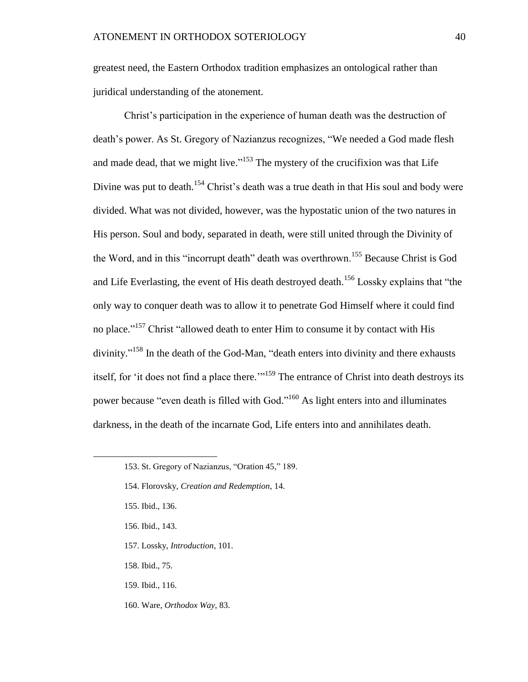greatest need, the Eastern Orthodox tradition emphasizes an ontological rather than juridical understanding of the atonement.

Christ"s participation in the experience of human death was the destruction of death"s power. As St. Gregory of Nazianzus recognizes, "We needed a God made flesh and made dead, that we might live."<sup>153</sup> The mystery of the crucifixion was that Life Divine was put to death.<sup>154</sup> Christ's death was a true death in that His soul and body were divided. What was not divided, however, was the hypostatic union of the two natures in His person. Soul and body, separated in death, were still united through the Divinity of the Word, and in this "incorrupt death" death was overthrown.<sup>155</sup> Because Christ is God and Life Everlasting, the event of His death destroyed death.<sup>156</sup> Lossky explains that "the only way to conquer death was to allow it to penetrate God Himself where it could find no place."<sup>157</sup> Christ "allowed death to enter Him to consume it by contact with His divinity."<sup>158</sup> In the death of the God-Man, "death enters into divinity and there exhausts itself, for 'it does not find a place there."<sup>159</sup> The entrance of Christ into death destroys its power because "even death is filled with God."<sup>160</sup> As light enters into and illuminates darkness, in the death of the incarnate God, Life enters into and annihilates death.

- 154. Florovsky, *Creation and Redemption*, 14.
- 155. Ibid., 136.

- 156. Ibid., 143.
- 157. Lossky, *Introduction*, 101.
- 158. Ibid., 75.
- 159. Ibid., 116.
- 160. Ware, *Orthodox Way*, 83.

<sup>153.</sup> St. Gregory of Nazianzus, "Oration 45," 189.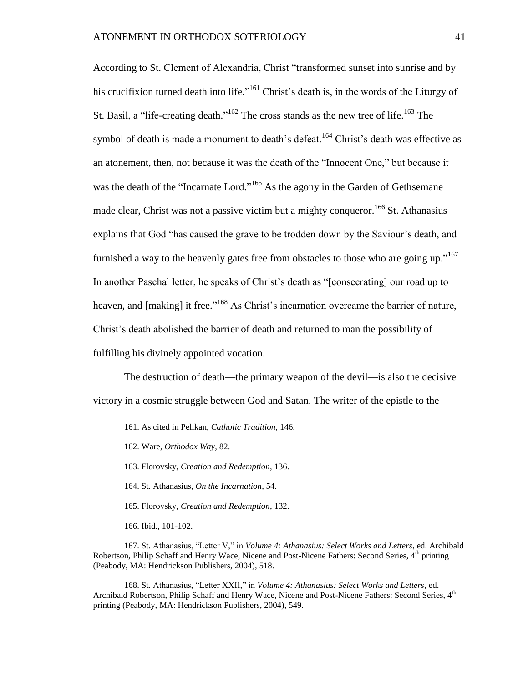According to St. Clement of Alexandria, Christ "transformed sunset into sunrise and by his crucifixion turned death into life."<sup>161</sup> Christ's death is, in the words of the Liturgy of St. Basil, a "life-creating death."<sup>162</sup> The cross stands as the new tree of life.<sup>163</sup> The symbol of death is made a monument to death's defeat.<sup>164</sup> Christ's death was effective as an atonement, then, not because it was the death of the "Innocent One," but because it was the death of the "Incarnate Lord."<sup>165</sup> As the agony in the Garden of Gethsemane made clear, Christ was not a passive victim but a mighty conqueror.<sup>166</sup> St. Athanasius explains that God "has caused the grave to be trodden down by the Saviour"s death, and furnished a way to the heavenly gates free from obstacles to those who are going up."<sup>167</sup> In another Paschal letter, he speaks of Christ"s death as "[consecrating] our road up to heaven, and [making] it free."<sup>168</sup> As Christ's incarnation overcame the barrier of nature, Christ"s death abolished the barrier of death and returned to man the possibility of fulfilling his divinely appointed vocation.

The destruction of death—the primary weapon of the devil—is also the decisive victory in a cosmic struggle between God and Satan. The writer of the epistle to the

- 165. Florovsky, *Creation and Redemption*, 132.
- 166. Ibid., 101-102.

 $\overline{a}$ 

167. St. Athanasius, "Letter V," in *Volume 4: Athanasius: Select Works and Letters*, ed. Archibald Robertson, Philip Schaff and Henry Wace, Nicene and Post-Nicene Fathers: Second Series, 4<sup>th</sup> printing (Peabody, MA: Hendrickson Publishers, 2004), 518.

168. St. Athanasius, "Letter XXII," in *Volume 4: Athanasius: Select Works and Letters*, ed. Archibald Robertson, Philip Schaff and Henry Wace, Nicene and Post-Nicene Fathers: Second Series, 4<sup>th</sup> printing (Peabody, MA: Hendrickson Publishers, 2004), 549.

<sup>161.</sup> As cited in Pelikan, *Catholic Tradition*, 146.

<sup>162.</sup> Ware, *Orthodox Way*, 82.

<sup>163.</sup> Florovsky, *Creation and Redemption*, 136.

<sup>164.</sup> St. Athanasius, *On the Incarnation*, 54.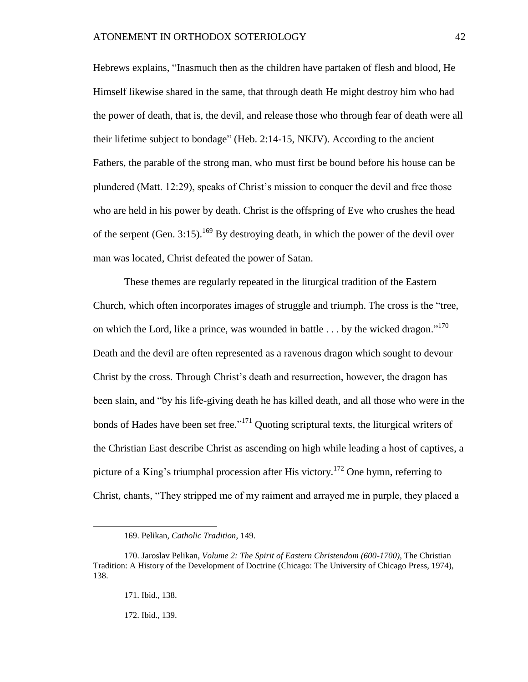Hebrews explains, "Inasmuch then as the children have partaken of flesh and blood, He Himself likewise shared in the same, that through death He might destroy him who had the power of death, that is, the devil, and release those who through fear of death were all their lifetime subject to bondage" (Heb. 2:14-15, NKJV). According to the ancient Fathers, the parable of the strong man, who must first be bound before his house can be plundered (Matt. 12:29), speaks of Christ"s mission to conquer the devil and free those who are held in his power by death. Christ is the offspring of Eve who crushes the head of the serpent (Gen. 3:15).<sup>169</sup> By destroving death, in which the power of the devil over man was located, Christ defeated the power of Satan.

These themes are regularly repeated in the liturgical tradition of the Eastern Church, which often incorporates images of struggle and triumph. The cross is the "tree, on which the Lord, like a prince, was wounded in battle  $\dots$  by the wicked dragon."<sup>170</sup> Death and the devil are often represented as a ravenous dragon which sought to devour Christ by the cross. Through Christ"s death and resurrection, however, the dragon has been slain, and "by his life-giving death he has killed death, and all those who were in the bonds of Hades have been set free."<sup>171</sup> Quoting scriptural texts, the liturgical writers of the Christian East describe Christ as ascending on high while leading a host of captives, a picture of a King's triumphal procession after His victory.<sup>172</sup> One hymn, referring to Christ, chants, "They stripped me of my raiment and arrayed me in purple, they placed a

<sup>169.</sup> Pelikan, *Catholic Tradition*, 149.

<sup>170.</sup> Jaroslav Pelikan, *Volume 2: The Spirit of Eastern Christendom (600-1700)*, The Christian Tradition: A History of the Development of Doctrine (Chicago: The University of Chicago Press, 1974), 138.

<sup>171.</sup> Ibid., 138.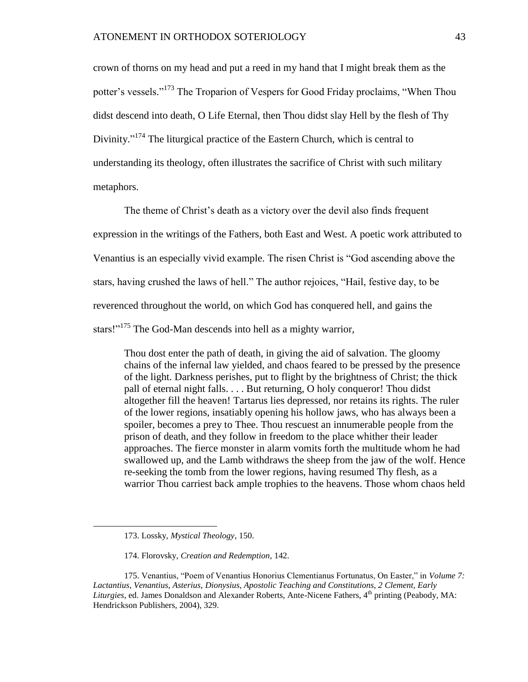crown of thorns on my head and put a reed in my hand that I might break them as the potter's vessels."<sup>173</sup> The Troparion of Vespers for Good Friday proclaims, "When Thou didst descend into death, O Life Eternal, then Thou didst slay Hell by the flesh of Thy Divinity."<sup>174</sup> The liturgical practice of the Eastern Church, which is central to understanding its theology, often illustrates the sacrifice of Christ with such military metaphors.

The theme of Christ's death as a victory over the devil also finds frequent expression in the writings of the Fathers, both East and West. A poetic work attributed to Venantius is an especially vivid example. The risen Christ is "God ascending above the stars, having crushed the laws of hell." The author rejoices, "Hail, festive day, to be reverenced throughout the world, on which God has conquered hell, and gains the stars!"<sup>175</sup> The God-Man descends into hell as a mighty warrior,

Thou dost enter the path of death, in giving the aid of salvation. The gloomy chains of the infernal law yielded, and chaos feared to be pressed by the presence of the light. Darkness perishes, put to flight by the brightness of Christ; the thick pall of eternal night falls. . . . But returning, O holy conqueror! Thou didst altogether fill the heaven! Tartarus lies depressed, nor retains its rights. The ruler of the lower regions, insatiably opening his hollow jaws, who has always been a spoiler, becomes a prey to Thee. Thou rescuest an innumerable people from the prison of death, and they follow in freedom to the place whither their leader approaches. The fierce monster in alarm vomits forth the multitude whom he had swallowed up, and the Lamb withdraws the sheep from the jaw of the wolf. Hence re-seeking the tomb from the lower regions, having resumed Thy flesh, as a warrior Thou carriest back ample trophies to the heavens. Those whom chaos held

<sup>173.</sup> Lossky, *Mystical Theology*, 150.

<sup>174.</sup> Florovsky, *Creation and Redemption*, 142.

<sup>175.</sup> Venantius, "Poem of Venantius Honorius Clementianus Fortunatus, On Easter," in *Volume 7: Lactantius, Venantius, Asterius, Dionysius, Apostolic Teaching and Constitutions, 2 Clement, Early Liturgies*, ed. James Donaldson and Alexander Roberts, Ante-Nicene Fathers, 4<sup>th</sup> printing (Peabody, MA: Hendrickson Publishers, 2004), 329.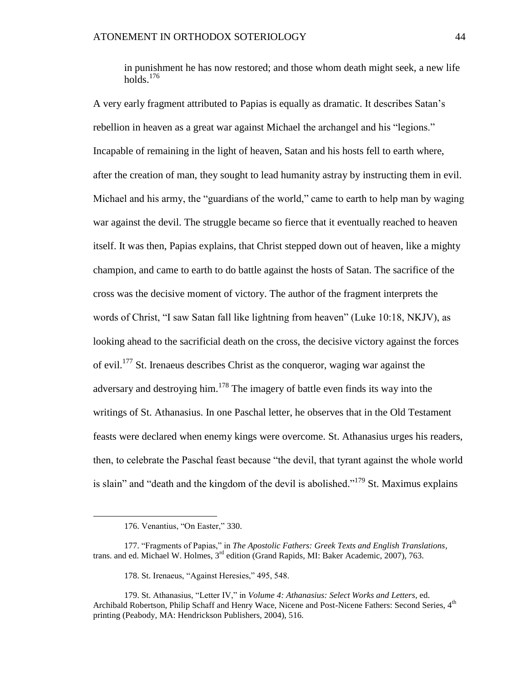in punishment he has now restored; and those whom death might seek, a new life holds. $176$ 

A very early fragment attributed to Papias is equally as dramatic. It describes Satan"s rebellion in heaven as a great war against Michael the archangel and his "legions." Incapable of remaining in the light of heaven, Satan and his hosts fell to earth where, after the creation of man, they sought to lead humanity astray by instructing them in evil. Michael and his army, the "guardians of the world," came to earth to help man by waging war against the devil. The struggle became so fierce that it eventually reached to heaven itself. It was then, Papias explains, that Christ stepped down out of heaven, like a mighty champion, and came to earth to do battle against the hosts of Satan. The sacrifice of the cross was the decisive moment of victory. The author of the fragment interprets the words of Christ, "I saw Satan fall like lightning from heaven" (Luke 10:18, NKJV), as looking ahead to the sacrificial death on the cross, the decisive victory against the forces of evil.<sup>177</sup> St. Irenaeus describes Christ as the conqueror, waging war against the adversary and destroying him.<sup>178</sup> The imagery of battle even finds its way into the writings of St. Athanasius. In one Paschal letter, he observes that in the Old Testament feasts were declared when enemy kings were overcome. St. Athanasius urges his readers, then, to celebrate the Paschal feast because "the devil, that tyrant against the whole world is slain" and "death and the kingdom of the devil is abolished."<sup>179</sup> St. Maximus explains

<sup>176.</sup> Venantius, "On Easter," 330.

<sup>177.</sup> "Fragments of Papias," in *The Apostolic Fathers: Greek Texts and English Translations*, trans. and ed. Michael W. Holmes, 3<sup>rd</sup> edition (Grand Rapids, MI: Baker Academic, 2007), 763.

<sup>178.</sup> St. Irenaeus, "Against Heresies," 495, 548.

<sup>179.</sup> St. Athanasius, "Letter IV," in *Volume 4: Athanasius: Select Works and Letters*, ed. Archibald Robertson, Philip Schaff and Henry Wace, Nicene and Post-Nicene Fathers: Second Series. 4<sup>th</sup> printing (Peabody, MA: Hendrickson Publishers, 2004), 516.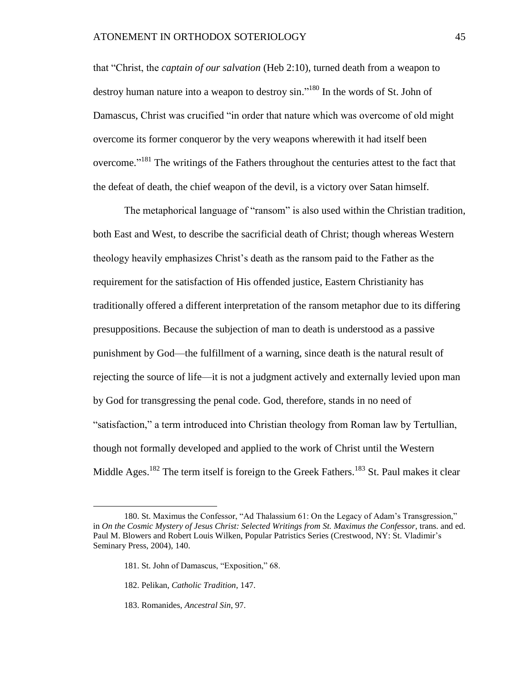that "Christ, the *captain of our salvation* (Heb 2:10), turned death from a weapon to destroy human nature into a weapon to destroy sin."<sup>180</sup> In the words of St. John of Damascus, Christ was crucified "in order that nature which was overcome of old might overcome its former conqueror by the very weapons wherewith it had itself been overcome."<sup>181</sup> The writings of the Fathers throughout the centuries attest to the fact that the defeat of death, the chief weapon of the devil, is a victory over Satan himself.

The metaphorical language of "ransom" is also used within the Christian tradition, both East and West, to describe the sacrificial death of Christ; though whereas Western theology heavily emphasizes Christ"s death as the ransom paid to the Father as the requirement for the satisfaction of His offended justice, Eastern Christianity has traditionally offered a different interpretation of the ransom metaphor due to its differing presuppositions. Because the subjection of man to death is understood as a passive punishment by God—the fulfillment of a warning, since death is the natural result of rejecting the source of life—it is not a judgment actively and externally levied upon man by God for transgressing the penal code. God, therefore, stands in no need of "satisfaction," a term introduced into Christian theology from Roman law by Tertullian, though not formally developed and applied to the work of Christ until the Western Middle Ages.<sup>182</sup> The term itself is foreign to the Greek Fathers.<sup>183</sup> St. Paul makes it clear

183. Romanides, *Ancestral Sin*, 97.

<sup>180.</sup> St. Maximus the Confessor, "Ad Thalassium 61: On the Legacy of Adam"s Transgression," in *On the Cosmic Mystery of Jesus Christ: Selected Writings from St. Maximus the Confessor*, trans. and ed. Paul M. Blowers and Robert Louis Wilken, Popular Patristics Series (Crestwood, NY: St. Vladimir"s Seminary Press, 2004), 140.

<sup>181.</sup> St. John of Damascus, "Exposition," 68.

<sup>182.</sup> Pelikan, *Catholic Tradition*, 147.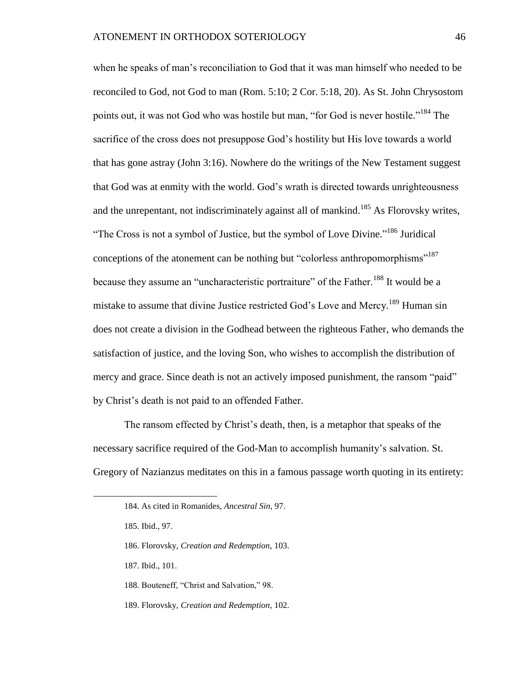when he speaks of man"s reconciliation to God that it was man himself who needed to be reconciled to God, not God to man (Rom. 5:10; 2 Cor. 5:18, 20). As St. John Chrysostom points out, it was not God who was hostile but man, "for God is never hostile."<sup>184</sup> The sacrifice of the cross does not presuppose God"s hostility but His love towards a world that has gone astray (John 3:16). Nowhere do the writings of the New Testament suggest that God was at enmity with the world. God"s wrath is directed towards unrighteousness and the unrepentant, not indiscriminately against all of mankind.<sup>185</sup> As Florovsky writes, "The Cross is not a symbol of Justice, but the symbol of Love Divine."<sup>186</sup> Juridical conceptions of the atonement can be nothing but "colorless anthropomorphisms"<sup>187</sup> because they assume an "uncharacteristic portraiture" of the Father.<sup>188</sup> It would be a mistake to assume that divine Justice restricted God's Love and Mercy.<sup>189</sup> Human sin does not create a division in the Godhead between the righteous Father, who demands the satisfaction of justice, and the loving Son, who wishes to accomplish the distribution of mercy and grace. Since death is not an actively imposed punishment, the ransom "paid" by Christ's death is not paid to an offended Father.

The ransom effected by Christ's death, then, is a metaphor that speaks of the necessary sacrifice required of the God-Man to accomplish humanity"s salvation. St. Gregory of Nazianzus meditates on this in a famous passage worth quoting in its entirety:

- 186. Florovsky, *Creation and Redemption*, 103.
- 187. Ibid., 101.
- 188. Bouteneff, "Christ and Salvation," 98.
- 189. Florovsky, *Creation and Redemption*, 102.

<sup>184.</sup> As cited in Romanides, *Ancestral Sin*, 97.

<sup>185.</sup> Ibid., 97.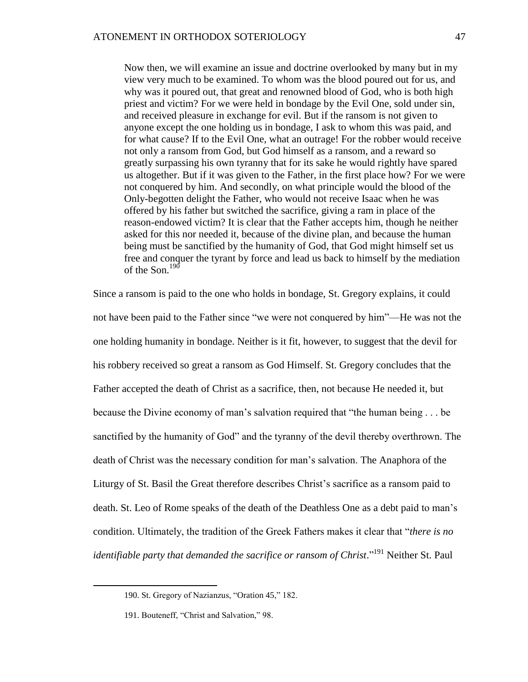Now then, we will examine an issue and doctrine overlooked by many but in my view very much to be examined. To whom was the blood poured out for us, and why was it poured out, that great and renowned blood of God, who is both high priest and victim? For we were held in bondage by the Evil One, sold under sin, and received pleasure in exchange for evil. But if the ransom is not given to anyone except the one holding us in bondage, I ask to whom this was paid, and for what cause? If to the Evil One, what an outrage! For the robber would receive not only a ransom from God, but God himself as a ransom, and a reward so greatly surpassing his own tyranny that for its sake he would rightly have spared us altogether. But if it was given to the Father, in the first place how? For we were not conquered by him. And secondly, on what principle would the blood of the Only-begotten delight the Father, who would not receive Isaac when he was offered by his father but switched the sacrifice, giving a ram in place of the reason-endowed victim? It is clear that the Father accepts him, though he neither asked for this nor needed it, because of the divine plan, and because the human being must be sanctified by the humanity of God, that God might himself set us free and conquer the tyrant by force and lead us back to himself by the mediation of the Son.<sup>190</sup>

Since a ransom is paid to the one who holds in bondage, St. Gregory explains, it could not have been paid to the Father since "we were not conquered by him"—He was not the one holding humanity in bondage. Neither is it fit, however, to suggest that the devil for his robbery received so great a ransom as God Himself. St. Gregory concludes that the Father accepted the death of Christ as a sacrifice, then, not because He needed it, but because the Divine economy of man"s salvation required that "the human being . . . be sanctified by the humanity of God" and the tyranny of the devil thereby overthrown. The death of Christ was the necessary condition for man"s salvation. The Anaphora of the Liturgy of St. Basil the Great therefore describes Christ"s sacrifice as a ransom paid to death. St. Leo of Rome speaks of the death of the Deathless One as a debt paid to man"s condition. Ultimately, the tradition of the Greek Fathers makes it clear that "*there is no*  identifiable party that demanded the sacrifice or ransom of Christ."<sup>191</sup> Neither St. Paul

<sup>190.</sup> St. Gregory of Nazianzus, "Oration 45," 182.

<sup>191.</sup> Bouteneff, "Christ and Salvation," 98.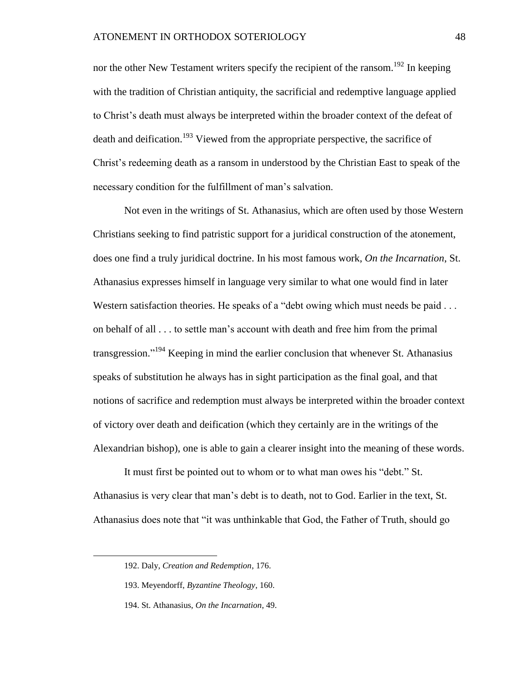nor the other New Testament writers specify the recipient of the ransom.<sup>192</sup> In keeping with the tradition of Christian antiquity, the sacrificial and redemptive language applied to Christ"s death must always be interpreted within the broader context of the defeat of death and deification.<sup>193</sup> Viewed from the appropriate perspective, the sacrifice of Christ"s redeeming death as a ransom in understood by the Christian East to speak of the necessary condition for the fulfillment of man"s salvation.

Not even in the writings of St. Athanasius, which are often used by those Western Christians seeking to find patristic support for a juridical construction of the atonement, does one find a truly juridical doctrine. In his most famous work, *On the Incarnation*, St. Athanasius expresses himself in language very similar to what one would find in later Western satisfaction theories. He speaks of a "debt owing which must needs be paid . . . on behalf of all . . . to settle man"s account with death and free him from the primal transgression."<sup>194</sup> Keeping in mind the earlier conclusion that whenever St. Athanasius speaks of substitution he always has in sight participation as the final goal, and that notions of sacrifice and redemption must always be interpreted within the broader context of victory over death and deification (which they certainly are in the writings of the Alexandrian bishop), one is able to gain a clearer insight into the meaning of these words.

It must first be pointed out to whom or to what man owes his "debt." St. Athanasius is very clear that man"s debt is to death, not to God. Earlier in the text, St. Athanasius does note that "it was unthinkable that God, the Father of Truth, should go

<sup>192.</sup> Daly, *Creation and Redemption*, 176.

<sup>193.</sup> Meyendorff, *Byzantine Theology*, 160.

<sup>194.</sup> St. Athanasius, *On the Incarnation*, 49.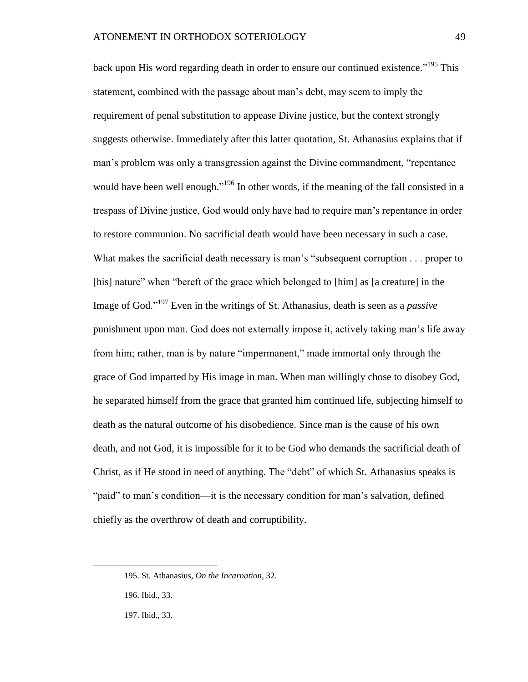back upon His word regarding death in order to ensure our continued existence."<sup>195</sup> This statement, combined with the passage about man"s debt, may seem to imply the requirement of penal substitution to appease Divine justice, but the context strongly suggests otherwise. Immediately after this latter quotation, St. Athanasius explains that if man"s problem was only a transgression against the Divine commandment, "repentance would have been well enough."<sup>196</sup> In other words, if the meaning of the fall consisted in a trespass of Divine justice, God would only have had to require man"s repentance in order to restore communion. No sacrificial death would have been necessary in such a case. What makes the sacrificial death necessary is man's "subsequent corruption . . . proper to [his] nature" when "bereft of the grace which belonged to [him] as [a creature] in the Image of God." <sup>197</sup> Even in the writings of St. Athanasius, death is seen as a *passive* punishment upon man. God does not externally impose it, actively taking man"s life away from him; rather, man is by nature "impermanent," made immortal only through the grace of God imparted by His image in man. When man willingly chose to disobey God, he separated himself from the grace that granted him continued life, subjecting himself to death as the natural outcome of his disobedience. Since man is the cause of his own death, and not God, it is impossible for it to be God who demands the sacrificial death of Christ, as if He stood in need of anything. The "debt" of which St. Athanasius speaks is "paid" to man's condition—it is the necessary condition for man's salvation, defined chiefly as the overthrow of death and corruptibility.

<sup>195.</sup> St. Athanasius, *On the Incarnation*, 32.

<sup>196.</sup> Ibid., 33.

<sup>197.</sup> Ibid., 33.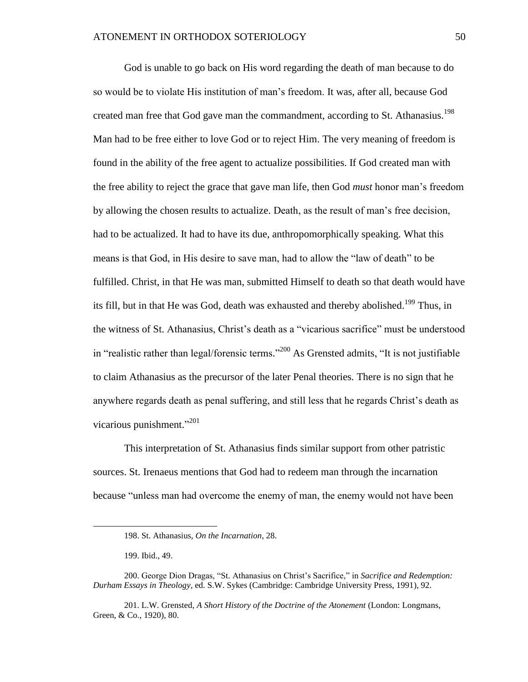God is unable to go back on His word regarding the death of man because to do so would be to violate His institution of man"s freedom. It was, after all, because God created man free that God gave man the commandment, according to St. Athanasius.<sup>198</sup> Man had to be free either to love God or to reject Him. The very meaning of freedom is found in the ability of the free agent to actualize possibilities. If God created man with the free ability to reject the grace that gave man life, then God *must* honor man"s freedom by allowing the chosen results to actualize. Death, as the result of man"s free decision, had to be actualized. It had to have its due, anthropomorphically speaking. What this means is that God, in His desire to save man, had to allow the "law of death" to be fulfilled. Christ, in that He was man, submitted Himself to death so that death would have its fill, but in that He was God, death was exhausted and thereby abolished.<sup>199</sup> Thus, in the witness of St. Athanasius, Christ"s death as a "vicarious sacrifice" must be understood in "realistic rather than legal/forensic terms."<sup>200</sup> As Grensted admits, "It is not justifiable to claim Athanasius as the precursor of the later Penal theories. There is no sign that he anywhere regards death as penal suffering, and still less that he regards Christ"s death as vicarious punishment."<sup>201</sup>

This interpretation of St. Athanasius finds similar support from other patristic sources. St. Irenaeus mentions that God had to redeem man through the incarnation because "unless man had overcome the enemy of man, the enemy would not have been

 $\overline{a}$ 

201. L.W. Grensted, *A Short History of the Doctrine of the Atonement* (London: Longmans, Green, & Co., 1920), 80.

<sup>198.</sup> St. Athanasius, *On the Incarnation*, 28.

<sup>199.</sup> Ibid., 49.

<sup>200.</sup> George Dion Dragas, "St. Athanasius on Christ"s Sacrifice," in *Sacrifice and Redemption: Durham Essays in Theology*, ed. S.W. Sykes (Cambridge: Cambridge University Press, 1991), 92.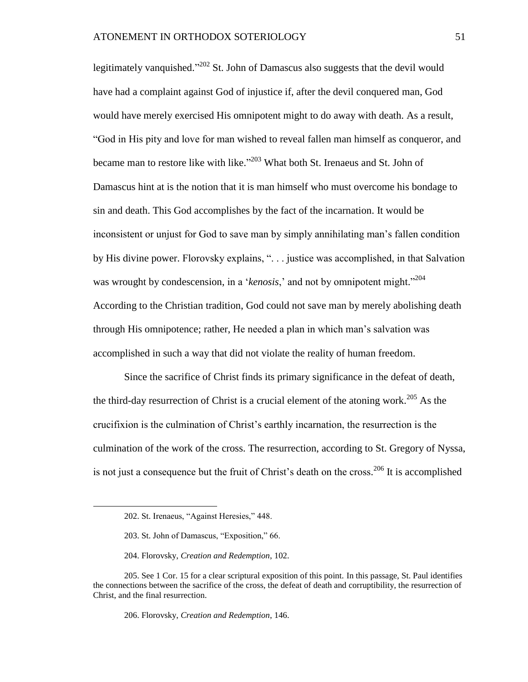legitimately vanquished."<sup>202</sup> St. John of Damascus also suggests that the devil would have had a complaint against God of injustice if, after the devil conquered man, God would have merely exercised His omnipotent might to do away with death. As a result, "God in His pity and love for man wished to reveal fallen man himself as conqueror, and became man to restore like with like."<sup>203</sup> What both St. Irenaeus and St. John of Damascus hint at is the notion that it is man himself who must overcome his bondage to sin and death. This God accomplishes by the fact of the incarnation. It would be inconsistent or unjust for God to save man by simply annihilating man"s fallen condition by His divine power. Florovsky explains, ". . . justice was accomplished, in that Salvation was wrought by condescension, in a 'kenosis,' and not by omnipotent might."<sup>204</sup> According to the Christian tradition, God could not save man by merely abolishing death through His omnipotence; rather, He needed a plan in which man"s salvation was accomplished in such a way that did not violate the reality of human freedom.

Since the sacrifice of Christ finds its primary significance in the defeat of death, the third-day resurrection of Christ is a crucial element of the atoning work.<sup>205</sup> As the crucifixion is the culmination of Christ"s earthly incarnation, the resurrection is the culmination of the work of the cross. The resurrection, according to St. Gregory of Nyssa, is not just a consequence but the fruit of Christ's death on the cross.  $206$  It is accomplished

 $\overline{a}$ 

206. Florovsky, *Creation and Redemption*, 146.

<sup>202.</sup> St. Irenaeus, "Against Heresies," 448.

<sup>203.</sup> St. John of Damascus, "Exposition," 66.

<sup>204.</sup> Florovsky, *Creation and Redemption*, 102.

<sup>205.</sup> See 1 Cor. 15 for a clear scriptural exposition of this point. In this passage, St. Paul identifies the connections between the sacrifice of the cross, the defeat of death and corruptibility, the resurrection of Christ, and the final resurrection.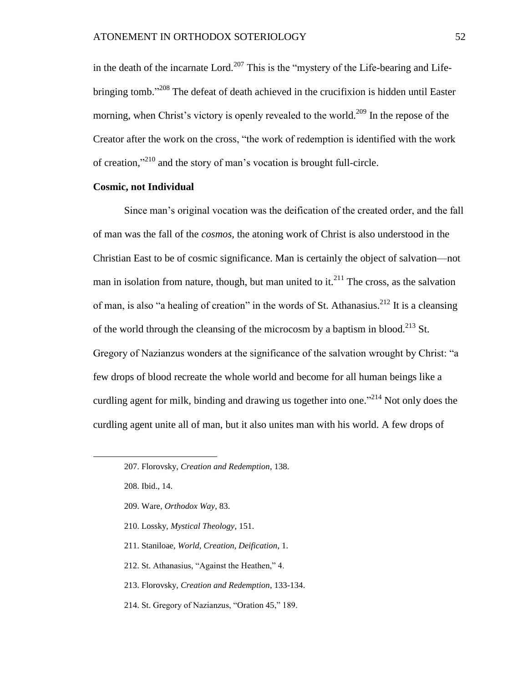in the death of the incarnate Lord.<sup>207</sup> This is the "mystery of the Life-bearing and Lifebringing tomb."<sup>208</sup> The defeat of death achieved in the crucifixion is hidden until Easter morning, when Christ's victory is openly revealed to the world.<sup>209</sup> In the repose of the Creator after the work on the cross, "the work of redemption is identified with the work of creation,"<sup>210</sup> and the story of man's vocation is brought full-circle.

## **Cosmic, not Individual**

Since man"s original vocation was the deification of the created order, and the fall of man was the fall of the *cosmos*, the atoning work of Christ is also understood in the Christian East to be of cosmic significance. Man is certainly the object of salvation—not man in isolation from nature, though, but man united to it.<sup>211</sup> The cross, as the salvation of man, is also "a healing of creation" in the words of St. Athanasius.<sup>212</sup> It is a cleansing of the world through the cleansing of the microcosm by a baptism in blood.<sup>213</sup> St. Gregory of Nazianzus wonders at the significance of the salvation wrought by Christ: "a few drops of blood recreate the whole world and become for all human beings like a curdling agent for milk, binding and drawing us together into one."<sup>214</sup> Not only does the curdling agent unite all of man, but it also unites man with his world. A few drops of

208. Ibid., 14.

- 209. Ware, *Orthodox Way*, 83.
- 210. Lossky, *Mystical Theology*, 151.
- 211. Staniloae, *World, Creation, Deification*, 1.
- 212. St. Athanasius, "Against the Heathen," 4.
- 213. Florovsky, *Creation and Redemption*, 133-134.
- 214. St. Gregory of Nazianzus, "Oration 45," 189.

<sup>207.</sup> Florovsky, *Creation and Redemption*, 138.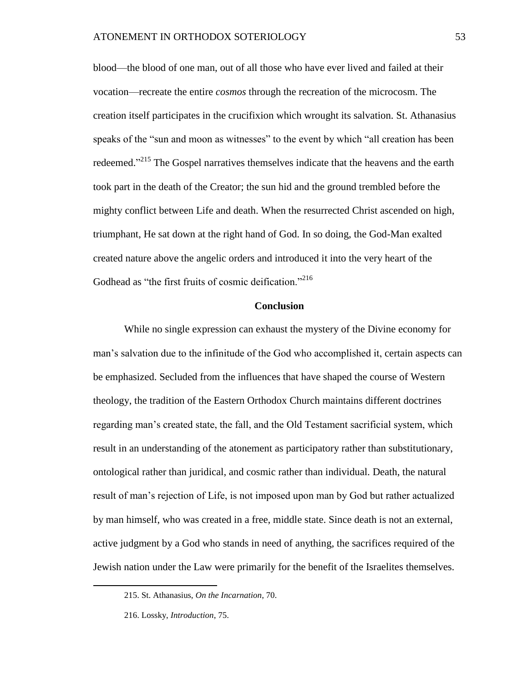blood—the blood of one man, out of all those who have ever lived and failed at their vocation—recreate the entire *cosmos* through the recreation of the microcosm. The creation itself participates in the crucifixion which wrought its salvation. St. Athanasius speaks of the "sun and moon as witnesses" to the event by which "all creation has been redeemed."<sup>215</sup> The Gospel narratives themselves indicate that the heavens and the earth took part in the death of the Creator; the sun hid and the ground trembled before the mighty conflict between Life and death. When the resurrected Christ ascended on high, triumphant, He sat down at the right hand of God. In so doing, the God-Man exalted created nature above the angelic orders and introduced it into the very heart of the Godhead as "the first fruits of cosmic deification."<sup>216</sup>

### **Conclusion**

While no single expression can exhaust the mystery of the Divine economy for man"s salvation due to the infinitude of the God who accomplished it, certain aspects can be emphasized. Secluded from the influences that have shaped the course of Western theology, the tradition of the Eastern Orthodox Church maintains different doctrines regarding man"s created state, the fall, and the Old Testament sacrificial system, which result in an understanding of the atonement as participatory rather than substitutionary, ontological rather than juridical, and cosmic rather than individual. Death, the natural result of man"s rejection of Life, is not imposed upon man by God but rather actualized by man himself, who was created in a free, middle state. Since death is not an external, active judgment by a God who stands in need of anything, the sacrifices required of the Jewish nation under the Law were primarily for the benefit of the Israelites themselves.

<sup>215.</sup> St. Athanasius, *On the Incarnation*, 70.

<sup>216.</sup> Lossky, *Introduction*, 75.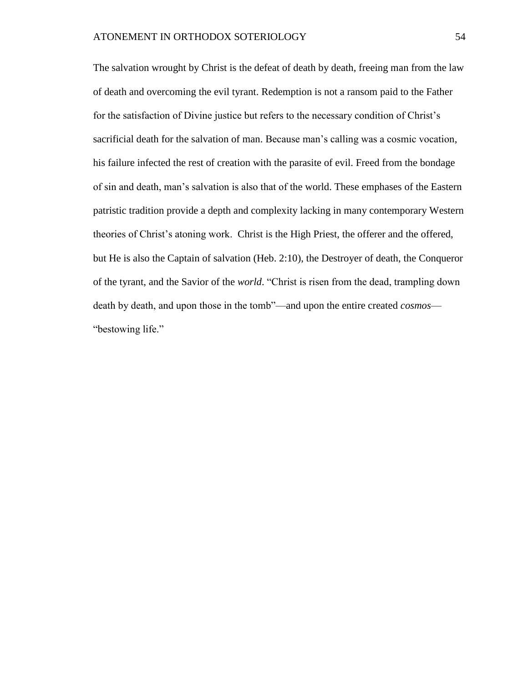The salvation wrought by Christ is the defeat of death by death, freeing man from the law of death and overcoming the evil tyrant. Redemption is not a ransom paid to the Father for the satisfaction of Divine justice but refers to the necessary condition of Christ's sacrificial death for the salvation of man. Because man"s calling was a cosmic vocation, his failure infected the rest of creation with the parasite of evil. Freed from the bondage of sin and death, man"s salvation is also that of the world. These emphases of the Eastern patristic tradition provide a depth and complexity lacking in many contemporary Western theories of Christ"s atoning work. Christ is the High Priest, the offerer and the offered, but He is also the Captain of salvation (Heb. 2:10), the Destroyer of death, the Conqueror of the tyrant, and the Savior of the *world*. "Christ is risen from the dead, trampling down death by death, and upon those in the tomb"—and upon the entire created *cosmos*— "bestowing life."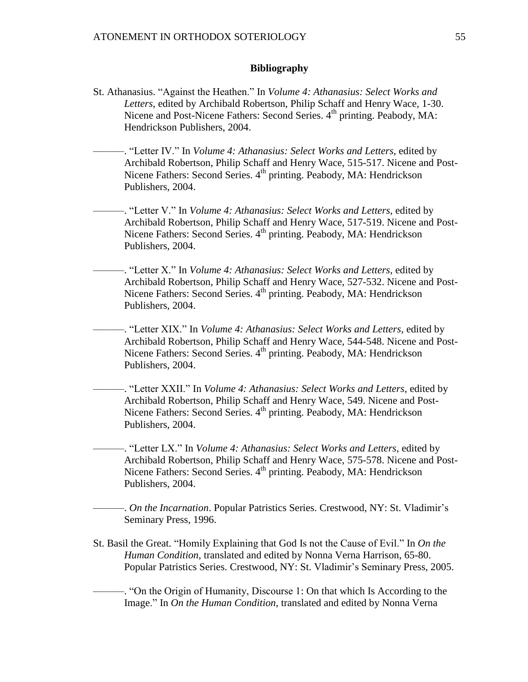# **Bibliography**

- St. Athanasius. "Against the Heathen." In *Volume 4: Athanasius: Select Works and Letters*, edited by Archibald Robertson, Philip Schaff and Henry Wace, 1-30. Nicene and Post-Nicene Fathers: Second Series. 4<sup>th</sup> printing. Peabody, MA: Hendrickson Publishers, 2004.
	- ———. "Letter IV." In *Volume 4: Athanasius: Select Works and Letters*, edited by Archibald Robertson, Philip Schaff and Henry Wace, 515-517. Nicene and Post-Nicene Fathers: Second Series. 4<sup>th</sup> printing. Peabody, MA: Hendrickson Publishers, 2004.
	- ———. "Letter V." In *Volume 4: Athanasius: Select Works and Letters*, edited by Archibald Robertson, Philip Schaff and Henry Wace, 517-519. Nicene and Post-Nicene Fathers: Second Series. 4<sup>th</sup> printing. Peabody, MA: Hendrickson Publishers, 2004.
	- ———. "Letter X." In *Volume 4: Athanasius: Select Works and Letters*, edited by Archibald Robertson, Philip Schaff and Henry Wace, 527-532. Nicene and Post-Nicene Fathers: Second Series. 4<sup>th</sup> printing. Peabody, MA: Hendrickson Publishers, 2004.
	- ———. "Letter XIX." In *Volume 4: Athanasius: Select Works and Letters*, edited by Archibald Robertson, Philip Schaff and Henry Wace, 544-548. Nicene and Post-Nicene Fathers: Second Series. 4<sup>th</sup> printing. Peabody, MA: Hendrickson Publishers, 2004.
	- ———. "Letter XXII." In *Volume 4: Athanasius: Select Works and Letters*, edited by Archibald Robertson, Philip Schaff and Henry Wace, 549. Nicene and Post-Nicene Fathers: Second Series. 4<sup>th</sup> printing. Peabody, MA: Hendrickson Publishers, 2004.
		- ———. "Letter LX." In *Volume 4: Athanasius: Select Works and Letters*, edited by Archibald Robertson, Philip Schaff and Henry Wace, 575-578. Nicene and Post-Nicene Fathers: Second Series. 4<sup>th</sup> printing. Peabody, MA: Hendrickson Publishers, 2004.
		- ———. *On the Incarnation*. Popular Patristics Series. Crestwood, NY: St. Vladimir"s Seminary Press, 1996.
- St. Basil the Great. "Homily Explaining that God Is not the Cause of Evil." In *On the Human Condition*, translated and edited by Nonna Verna Harrison, 65-80. Popular Patristics Series. Crestwood, NY: St. Vladimir"s Seminary Press, 2005.
- ———. "On the Origin of Humanity, Discourse 1: On that which Is According to the Image." In *On the Human Condition*, translated and edited by Nonna Verna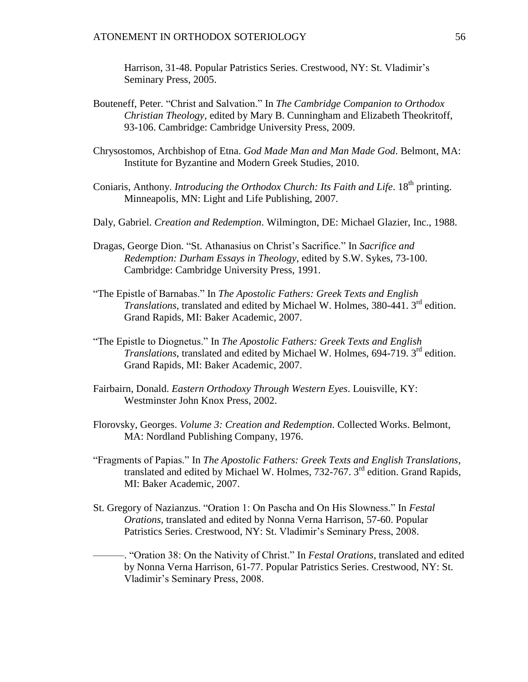Harrison, 31-48. Popular Patristics Series. Crestwood, NY: St. Vladimir's Seminary Press, 2005.

- Bouteneff, Peter. "Christ and Salvation." In *The Cambridge Companion to Orthodox Christian Theology*, edited by Mary B. Cunningham and Elizabeth Theokritoff, 93-106. Cambridge: Cambridge University Press, 2009.
- Chrysostomos, Archbishop of Etna. *God Made Man and Man Made God*. Belmont, MA: Institute for Byzantine and Modern Greek Studies, 2010.
- Coniaris, Anthony. *Introducing the Orthodox Church: Its Faith and Life*. 18<sup>th</sup> printing. Minneapolis, MN: Light and Life Publishing, 2007.
- Daly, Gabriel. *Creation and Redemption*. Wilmington, DE: Michael Glazier, Inc., 1988.
- Dragas, George Dion. "St. Athanasius on Christ"s Sacrifice." In *Sacrifice and Redemption: Durham Essays in Theology*, edited by S.W. Sykes, 73-100. Cambridge: Cambridge University Press, 1991.
- "The Epistle of Barnabas." In *The Apostolic Fathers: Greek Texts and English Translations*, translated and edited by Michael W. Holmes, 380-441. 3 rd edition. Grand Rapids, MI: Baker Academic, 2007.
- "The Epistle to Diognetus." In *The Apostolic Fathers: Greek Texts and English Translations*, translated and edited by Michael W. Holmes, 694-719. 3 rd edition. Grand Rapids, MI: Baker Academic, 2007.
- Fairbairn, Donald. *Eastern Orthodoxy Through Western Eyes*. Louisville, KY: Westminster John Knox Press, 2002.
- Florovsky, Georges. *Volume 3: Creation and Redemption*. Collected Works. Belmont, MA: Nordland Publishing Company, 1976.
- "Fragments of Papias." In *The Apostolic Fathers: Greek Texts and English Translations*, translated and edited by Michael W. Holmes, 732-767. 3<sup>rd</sup> edition. Grand Rapids, MI: Baker Academic, 2007.
- St. Gregory of Nazianzus. "Oration 1: On Pascha and On His Slowness." In *Festal Orations*, translated and edited by Nonna Verna Harrison, 57-60. Popular Patristics Series. Crestwood, NY: St. Vladimir's Seminary Press, 2008.
	- ———. "Oration 38: On the Nativity of Christ." In *Festal Orations*, translated and edited by Nonna Verna Harrison, 61-77. Popular Patristics Series. Crestwood, NY: St. Vladimir"s Seminary Press, 2008.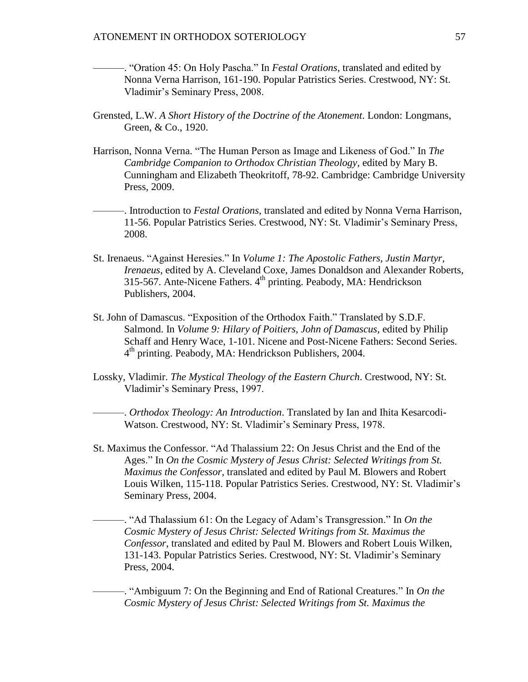- ———. "Oration 45: On Holy Pascha." In *Festal Orations*, translated and edited by Nonna Verna Harrison, 161-190. Popular Patristics Series. Crestwood, NY: St. Vladimir"s Seminary Press, 2008.
- Grensted, L.W. *A Short History of the Doctrine of the Atonement*. London: Longmans, Green, & Co., 1920.
- Harrison, Nonna Verna. "The Human Person as Image and Likeness of God." In *The Cambridge Companion to Orthodox Christian Theology*, edited by Mary B. Cunningham and Elizabeth Theokritoff, 78-92. Cambridge: Cambridge University Press, 2009.

———. Introduction to *Festal Orations*, translated and edited by Nonna Verna Harrison, 11-56. Popular Patristics Series. Crestwood, NY: St. Vladimir"s Seminary Press, 2008.

- St. Irenaeus. "Against Heresies." In *Volume 1: The Apostolic Fathers, Justin Martyr, Irenaeus*, edited by A. Cleveland Coxe, James Donaldson and Alexander Roberts, 315-567. Ante-Nicene Fathers. 4<sup>th</sup> printing. Peabody, MA: Hendrickson Publishers, 2004.
- St. John of Damascus. "Exposition of the Orthodox Faith." Translated by S.D.F. Salmond. In *Volume 9: Hilary of Poitiers, John of Damascus*, edited by Philip Schaff and Henry Wace, 1-101. Nicene and Post-Nicene Fathers: Second Series. 4 th printing. Peabody, MA: Hendrickson Publishers, 2004.
- Lossky, Vladimir. *The Mystical Theology of the Eastern Church*. Crestwood, NY: St. Vladimir"s Seminary Press, 1997.

———. *Orthodox Theology: An Introduction*. Translated by Ian and Ihita Kesarcodi-Watson. Crestwood, NY: St. Vladimir's Seminary Press, 1978.

St. Maximus the Confessor. "Ad Thalassium 22: On Jesus Christ and the End of the Ages." In *On the Cosmic Mystery of Jesus Christ: Selected Writings from St. Maximus the Confessor*, translated and edited by Paul M. Blowers and Robert Louis Wilken, 115-118. Popular Patristics Series. Crestwood, NY: St. Vladimir's Seminary Press, 2004.

———. "Ad Thalassium 61: On the Legacy of Adam"s Transgression." In *On the Cosmic Mystery of Jesus Christ: Selected Writings from St. Maximus the Confessor*, translated and edited by Paul M. Blowers and Robert Louis Wilken, 131-143. Popular Patristics Series. Crestwood, NY: St. Vladimir"s Seminary Press, 2004.

———. "Ambiguum 7: On the Beginning and End of Rational Creatures." In *On the Cosmic Mystery of Jesus Christ: Selected Writings from St. Maximus the*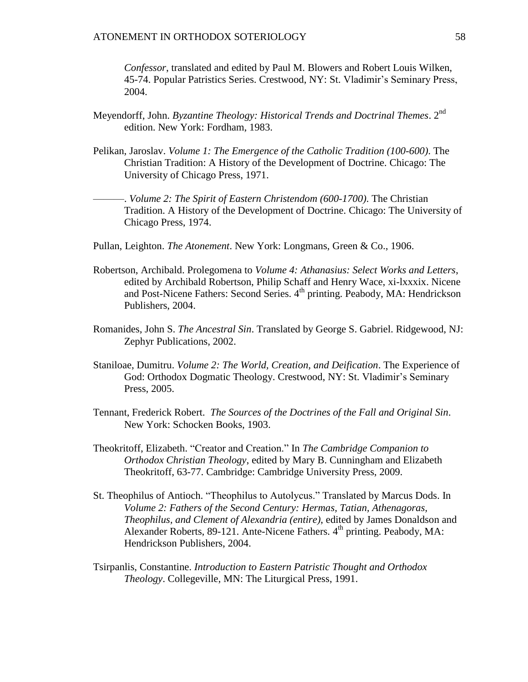*Confessor*, translated and edited by Paul M. Blowers and Robert Louis Wilken, 45-74. Popular Patristics Series. Crestwood, NY: St. Vladimir"s Seminary Press, 2004.

- Meyendorff, John. *Byzantine Theology: Historical Trends and Doctrinal Themes.* 2<sup>nd</sup> edition. New York: Fordham, 1983.
- Pelikan, Jaroslav. *Volume 1: The Emergence of the Catholic Tradition (100-600)*. The Christian Tradition: A History of the Development of Doctrine. Chicago: The University of Chicago Press, 1971.
- ———. *Volume 2: The Spirit of Eastern Christendom (600-1700)*. The Christian Tradition. A History of the Development of Doctrine. Chicago: The University of Chicago Press, 1974.
- Pullan, Leighton. *The Atonement*. New York: Longmans, Green & Co., 1906.
- Robertson, Archibald. Prolegomena to *Volume 4: Athanasius: Select Works and Letters*, edited by Archibald Robertson, Philip Schaff and Henry Wace, xi-lxxxix. Nicene and Post-Nicene Fathers: Second Series. 4<sup>th</sup> printing. Peabody, MA: Hendrickson Publishers, 2004.
- Romanides, John S. *The Ancestral Sin*. Translated by George S. Gabriel. Ridgewood, NJ: Zephyr Publications, 2002.
- Staniloae, Dumitru. *Volume 2: The World, Creation, and Deification*. The Experience of God: Orthodox Dogmatic Theology. Crestwood, NY: St. Vladimir"s Seminary Press, 2005.
- Tennant, Frederick Robert. *The Sources of the Doctrines of the Fall and Original Sin*. New York: Schocken Books, 1903.
- Theokritoff, Elizabeth. "Creator and Creation." In *The Cambridge Companion to Orthodox Christian Theology*, edited by Mary B. Cunningham and Elizabeth Theokritoff, 63-77. Cambridge: Cambridge University Press, 2009.
- St. Theophilus of Antioch. "Theophilus to Autolycus." Translated by Marcus Dods. In *Volume 2: Fathers of the Second Century: Hermas, Tatian, Athenagoras, Theophilus, and Clement of Alexandria (entire)*, edited by James Donaldson and Alexander Roberts, 89-121. Ante-Nicene Fathers. 4<sup>th</sup> printing. Peabody, MA: Hendrickson Publishers, 2004.
- Tsirpanlis, Constantine. *Introduction to Eastern Patristic Thought and Orthodox Theology*. Collegeville, MN: The Liturgical Press, 1991.